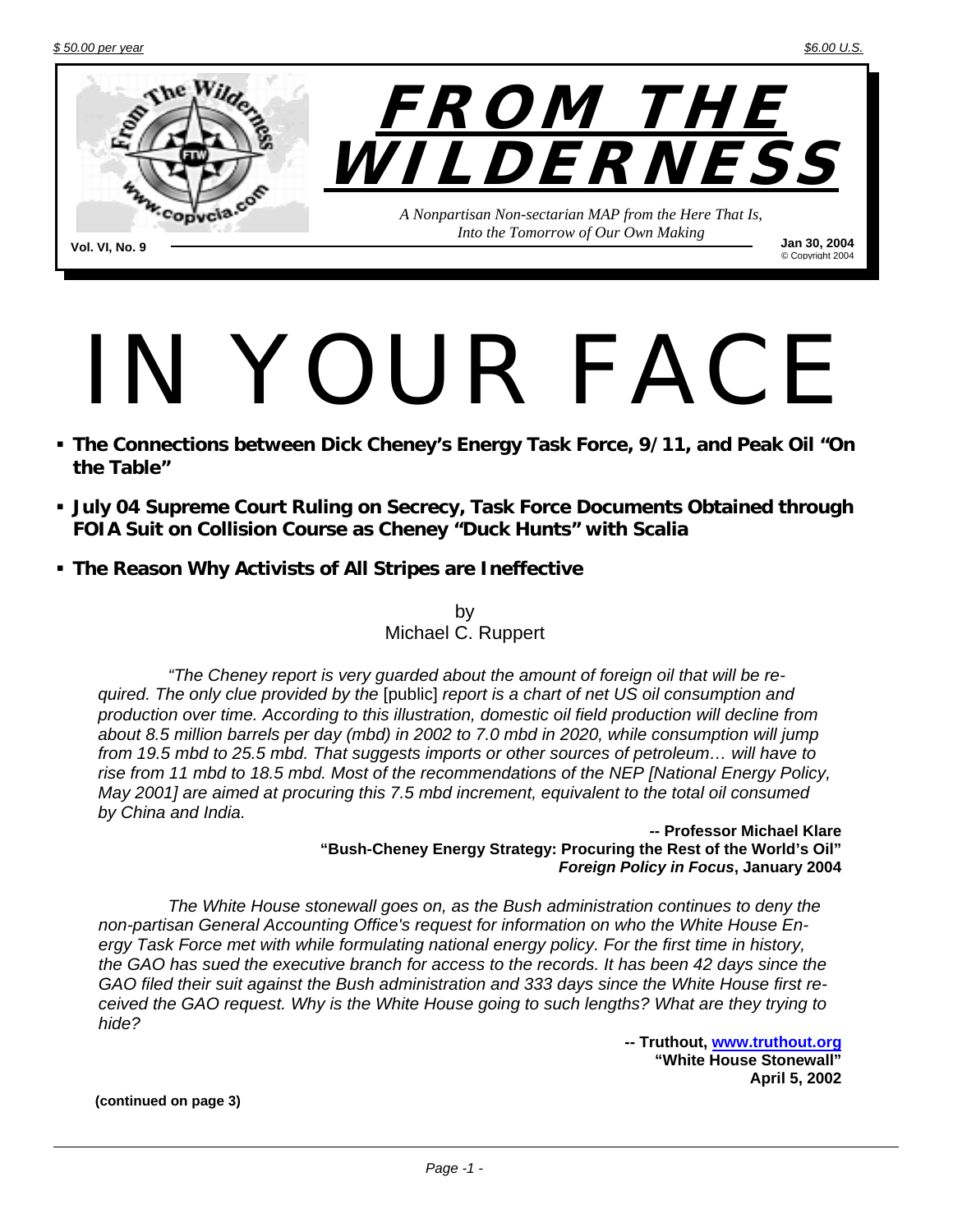

# IN YOUR FACE

- **The Connections between Dick Cheney's Energy Task Force, 9/11, and Peak Oil "On the Table"**
- **July 04 Supreme Court Ruling on Secrecy, Task Force Documents Obtained through FOIA Suit on Collision Course as Cheney "Duck Hunts" with Scalia**
- **The Reason Why Activists of All Stripes are Ineffective**

by Michael C. Ruppert

*"The Cheney report is very guarded about the amount of foreign oil that will be required. The only clue provided by the* [public] *report is a chart of net US oil consumption and production over time. According to this illustration, domestic oil field production will decline from about 8.5 million barrels per day (mbd) in 2002 to 7.0 mbd in 2020, while consumption will jump from 19.5 mbd to 25.5 mbd. That suggests imports or other sources of petroleum… will have to rise from 11 mbd to 18.5 mbd. Most of the recommendations of the NEP [National Energy Policy, May 2001] are aimed at procuring this 7.5 mbd increment, equivalent to the total oil consumed by China and India.* 

**-- Professor Michael Klare "Bush-Cheney Energy Strategy: Procuring the Rest of the World's Oil"**  *Foreign Policy in Focus***, January 2004** 

*The White House stonewall goes on, as the Bush administration continues to deny the non-partisan General Accounting Office's request for information on who the White House Energy Task Force met with while formulating national energy policy. For the first time in history, the GAO has sued the executive branch for access to the records. It has been 42 days since the GAO filed their suit against the Bush administration and 333 days since the White House first received the GAO request. Why is the White House going to such lengths? What are they trying to hide?* 

> **-- Truthout, www.truthout.org "White House Stonewall" April 5, 2002**

**(continued on page 3)**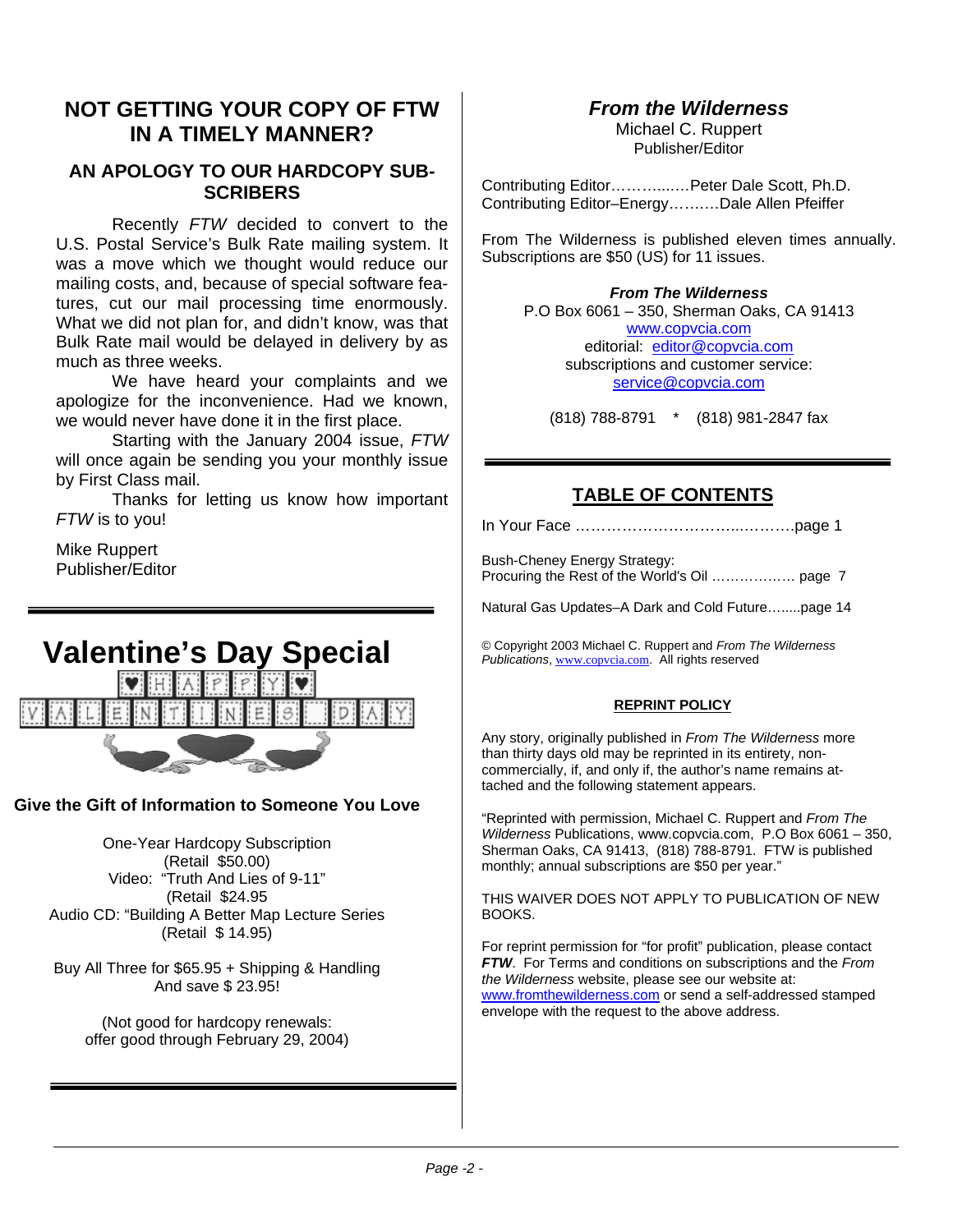#### **NOT GETTING YOUR COPY OF FTW IN A TIMELY MANNER?**

#### **AN APOLOGY TO OUR HARDCOPY SUB-SCRIBERS**

Recently *FTW* decided to convert to the U.S. Postal Service's Bulk Rate mailing system. It was a move which we thought would reduce our mailing costs, and, because of special software features, cut our mail processing time enormously. What we did not plan for, and didn't know, was that Bulk Rate mail would be delayed in delivery by as much as three weeks.

We have heard your complaints and we apologize for the inconvenience. Had we known, we would never have done it in the first place.

Starting with the January 2004 issue, *FTW* will once again be sending you your monthly issue by First Class mail.

Thanks for letting us know how important *FTW* is to you!

Mike Ruppert Publisher/Editor

# **Valentine's Day Special**  DΪ

#### **Give the Gift of Information to Someone You Love**

One-Year Hardcopy Subscription (Retail \$50.00) Video: "Truth And Lies of 9-11" (Retail \$24.95 Audio CD: "Building A Better Map Lecture Series (Retail \$ 14.95)

Buy All Three for \$65.95 + Shipping & Handling And save \$ 23.95!

(Not good for hardcopy renewals: offer good through February 29, 2004)

#### *From the Wilderness*

Michael C. Ruppert Publisher/Editor

Contributing Editor………....…Peter Dale Scott, Ph.D. Contributing Editor–Energy…….…Dale Allen Pfeiffer

From The Wilderness is published eleven times annually. Subscriptions are \$50 (US) for 11 issues.

*From The Wilderness*  P.O Box 6061 – 350, Sherman Oaks, CA 91413 www.copvcia.com editorial: editor@copvcia.com subscriptions and customer service: service@copvcia.com

(818) 788-8791 \* (818) 981-2847 fax

#### **TABLE OF CONTENTS**

In Your Face …………………………...……….page 1

Bush-Cheney Energy Strategy: Procuring the Rest of the World's Oil ……………… page 7

Natural Gas Updates–A Dark and Cold Future….....page 14

© Copyright 2003 Michael C. Ruppert and *From The Wilderness Publications*, www.copvcia.com. All rights reserved

#### **REPRINT POLICY**

Any story, originally published in *From The Wilderness* more than thirty days old may be reprinted in its entirety, noncommercially, if, and only if, the author's name remains attached and the following statement appears.

"Reprinted with permission, Michael C. Ruppert and *From The Wilderness* Publications, www.copvcia.com, P.O Box 6061 – 350, Sherman Oaks, CA 91413, (818) 788-8791. FTW is published monthly; annual subscriptions are \$50 per year."

THIS WAIVER DOES NOT APPLY TO PUBLICATION OF NEW BOOKS.

For reprint permission for "for profit" publication, please contact *FTW*. For Terms and conditions on subscriptions and the *From the Wilderness* website, please see our website at: www.fromthewilderness.com or send a self-addressed stamped envelope with the request to the above address.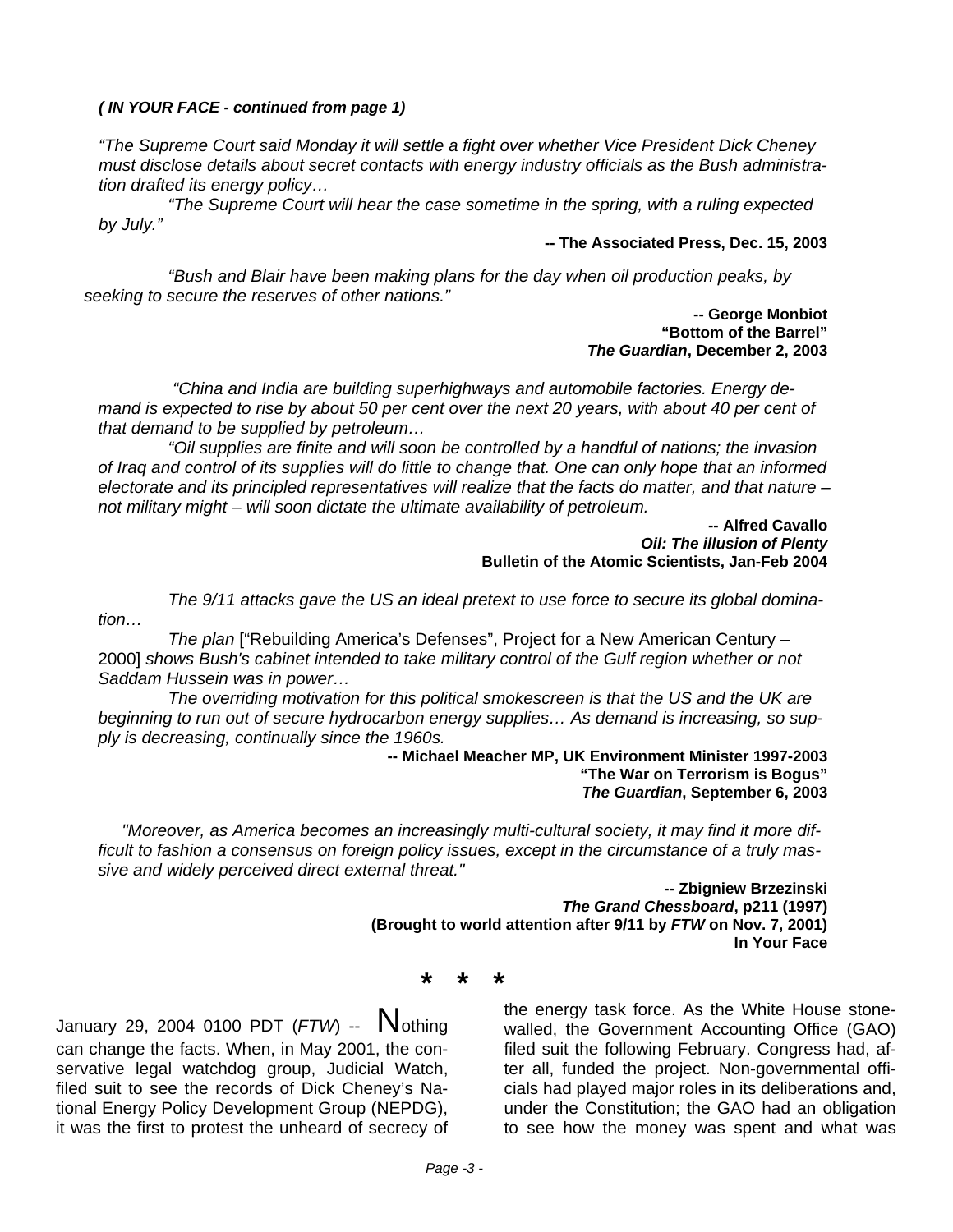#### *( IN YOUR FACE - continued from page 1)*

*"The Supreme Court said Monday it will settle a fight over whether Vice President Dick Cheney must disclose details about secret contacts with energy industry officials as the Bush administration drafted its energy policy…* 

 *"The Supreme Court will hear the case sometime in the spring, with a ruling expected by July."*

#### **-- The Associated Press, Dec. 15, 2003**

*"Bush and Blair have been making plans for the day when oil production peaks, by seeking to secure the reserves of other nations."*

> **-- George Monbiot "Bottom of the Barrel"**  *The Guardian***, December 2, 2003**

 *"China and India are building superhighways and automobile factories. Energy demand is expected to rise by about 50 per cent over the next 20 years, with about 40 per cent of that demand to be supplied by petroleum…* 

 *"Oil supplies are finite and will soon be controlled by a handful of nations; the invasion of Iraq and control of its supplies will do little to change that. One can only hope that an informed electorate and its principled representatives will realize that the facts do matter, and that nature – not military might – will soon dictate the ultimate availability of petroleum.* 

> **-- Alfred Cavallo**  *Oil: The illusion of Plenty*  **Bulletin of the Atomic Scientists, Jan-Feb 2004**

*The 9/11 attacks gave the US an ideal pretext to use force to secure its global domination…* 

 *The plan* ["Rebuilding America's Defenses", Project for a New American Century – 2000] *shows Bush's cabinet intended to take military control of the Gulf region whether or not Saddam Hussein was in power…* 

*The overriding motivation for this political smokescreen is that the US and the UK are beginning to run out of secure hydrocarbon energy supplies… As demand is increasing, so supply is decreasing, continually since the 1960s.*

#### **-- Michael Meacher MP, UK Environment Minister 1997-2003 "The War on Terrorism is Bogus"**  *The Guardian***, September 6, 2003**

 *"Moreover, as America becomes an increasingly multi-cultural society, it may find it more difficult to fashion a consensus on foreign policy issues, except in the circumstance of a truly massive and widely perceived direct external threat."*

> **-- Zbigniew Brzezinski**  *The Grand Chessboard***, p211 (1997) (Brought to world attention after 9/11 by** *FTW* **on Nov. 7, 2001) In Your Face**

> > **\* \* \***

January 29, 2004 0100 PDT (*FTW*) -- Nothing can change the facts. When, in May 2001, the conservative legal watchdog group, Judicial Watch, filed suit to see the records of Dick Cheney's National Energy Policy Development Group (NEPDG), it was the first to protest the unheard of secrecy of the energy task force. As the White House stonewalled, the Government Accounting Office (GAO) filed suit the following February. Congress had, after all, funded the project. Non-governmental officials had played major roles in its deliberations and, under the Constitution; the GAO had an obligation to see how the money was spent and what was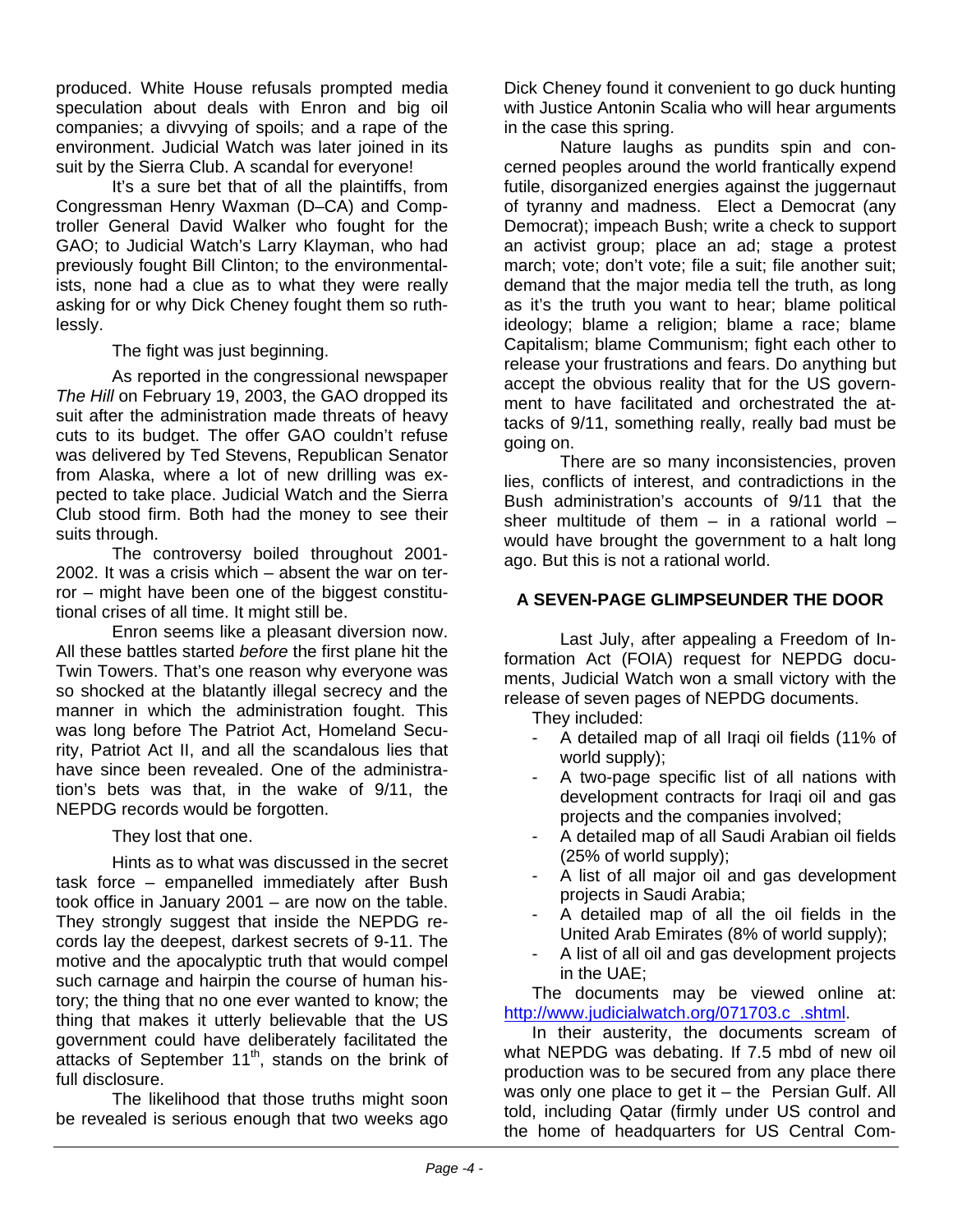produced. White House refusals prompted media speculation about deals with Enron and big oil companies; a divvying of spoils; and a rape of the environment. Judicial Watch was later joined in its suit by the Sierra Club. A scandal for everyone!

It's a sure bet that of all the plaintiffs, from Congressman Henry Waxman (D–CA) and Comptroller General David Walker who fought for the GAO; to Judicial Watch's Larry Klayman, who had previously fought Bill Clinton; to the environmentalists, none had a clue as to what they were really asking for or why Dick Cheney fought them so ruthlessly.

The fight was just beginning.

As reported in the congressional newspaper *The Hill* on February 19, 2003, the GAO dropped its suit after the administration made threats of heavy cuts to its budget. The offer GAO couldn't refuse was delivered by Ted Stevens, Republican Senator from Alaska, where a lot of new drilling was expected to take place. Judicial Watch and the Sierra Club stood firm. Both had the money to see their suits through.

The controversy boiled throughout 2001- 2002. It was a crisis which – absent the war on terror – might have been one of the biggest constitutional crises of all time. It might still be.

Enron seems like a pleasant diversion now. All these battles started *before* the first plane hit the Twin Towers. That's one reason why everyone was so shocked at the blatantly illegal secrecy and the manner in which the administration fought. This was long before The Patriot Act, Homeland Security, Patriot Act II, and all the scandalous lies that have since been revealed. One of the administration's bets was that, in the wake of 9/11, the NEPDG records would be forgotten.

They lost that one.

Hints as to what was discussed in the secret task force – empanelled immediately after Bush took office in January 2001 – are now on the table. They strongly suggest that inside the NEPDG records lay the deepest, darkest secrets of 9-11. The motive and the apocalyptic truth that would compel such carnage and hairpin the course of human history; the thing that no one ever wanted to know; the thing that makes it utterly believable that the US government could have deliberately facilitated the attacks of September 11<sup>th</sup>, stands on the brink of full disclosure.

The likelihood that those truths might soon be revealed is serious enough that two weeks ago

Dick Cheney found it convenient to go duck hunting with Justice Antonin Scalia who will hear arguments in the case this spring.

Nature laughs as pundits spin and concerned peoples around the world frantically expend futile, disorganized energies against the juggernaut of tyranny and madness. Elect a Democrat (any Democrat); impeach Bush; write a check to support an activist group; place an ad; stage a protest march; vote; don't vote; file a suit; file another suit; demand that the major media tell the truth, as long as it's the truth you want to hear; blame political ideology; blame a religion; blame a race; blame Capitalism; blame Communism; fight each other to release your frustrations and fears. Do anything but accept the obvious reality that for the US government to have facilitated and orchestrated the attacks of 9/11, something really, really bad must be going on.

There are so many inconsistencies, proven lies, conflicts of interest, and contradictions in the Bush administration's accounts of 9/11 that the sheer multitude of them  $-$  in a rational world  $$ would have brought the government to a halt long ago. But this is not a rational world.

#### **A SEVEN-PAGE GLIMPSEUNDER THE DOOR**

Last July, after appealing a Freedom of Information Act (FOIA) request for NEPDG documents, Judicial Watch won a small victory with the release of seven pages of NEPDG documents.

They included:

- A detailed map of all Iraqi oil fields (11% of world supply);
- A two-page specific list of all nations with development contracts for Iraqi oil and gas projects and the companies involved;
- A detailed map of all Saudi Arabian oil fields (25% of world supply);
- A list of all major oil and gas development projects in Saudi Arabia;
- A detailed map of all the oil fields in the United Arab Emirates (8% of world supply);
- A list of all oil and gas development projects in the UAE;

The documents may be viewed online at: http://www.judicialwatch.org/071703.c\_.shtml.

In their austerity, the documents scream of what NEPDG was debating. If 7.5 mbd of new oil production was to be secured from any place there was only one place to get it – the Persian Gulf. All told, including Qatar (firmly under US control and the home of headquarters for US Central Com-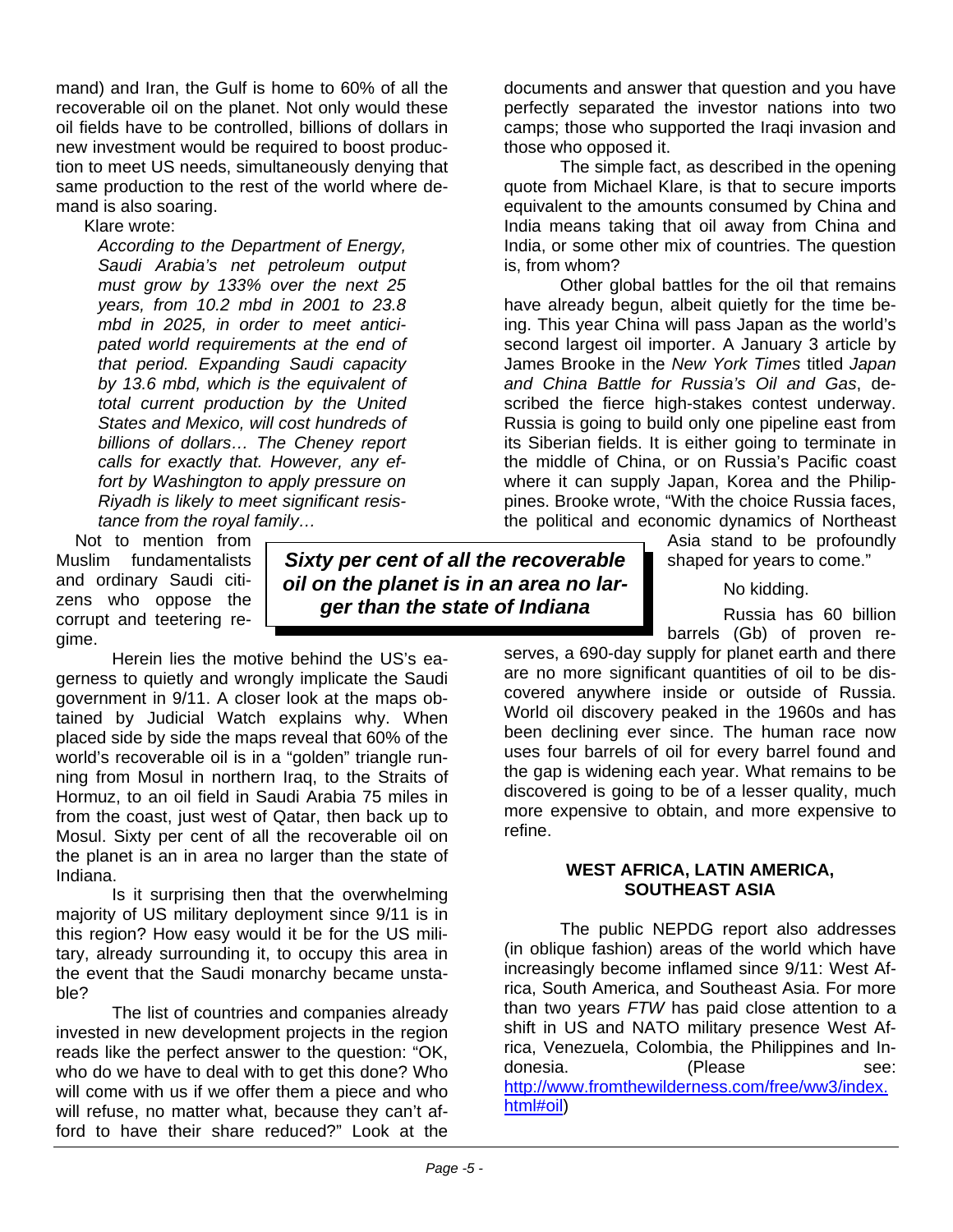mand) and Iran, the Gulf is home to 60% of all the recoverable oil on the planet. Not only would these oil fields have to be controlled, billions of dollars in new investment would be required to boost production to meet US needs, simultaneously denying that same production to the rest of the world where demand is also soaring.

Klare wrote:

*According to the Department of Energy, Saudi Arabia's net petroleum output must grow by 133% over the next 25 years, from 10.2 mbd in 2001 to 23.8 mbd in 2025, in order to meet anticipated world requirements at the end of that period. Expanding Saudi capacity by 13.6 mbd, which is the equivalent of total current production by the United States and Mexico, will cost hundreds of billions of dollars… The Cheney report calls for exactly that. However, any effort by Washington to apply pressure on Riyadh is likely to meet significant resistance from the royal family…* 

 Not to mention from Muslim fundamentalists and ordinary Saudi citizens who oppose the corrupt and teetering re-

gime.

*Sixty per cent of all the recoverable oil on the planet is in an area no larger than the state of Indiana*

Herein lies the motive behind the US's eagerness to quietly and wrongly implicate the Saudi government in 9/11. A closer look at the maps obtained by Judicial Watch explains why. When placed side by side the maps reveal that 60% of the world's recoverable oil is in a "golden" triangle running from Mosul in northern Iraq, to the Straits of Hormuz, to an oil field in Saudi Arabia 75 miles in from the coast, just west of Qatar, then back up to Mosul. Sixty per cent of all the recoverable oil on the planet is an in area no larger than the state of Indiana.

Is it surprising then that the overwhelming majority of US military deployment since 9/11 is in this region? How easy would it be for the US military, already surrounding it, to occupy this area in the event that the Saudi monarchy became unstable?

The list of countries and companies already invested in new development projects in the region reads like the perfect answer to the question: "OK, who do we have to deal with to get this done? Who will come with us if we offer them a piece and who will refuse, no matter what, because they can't afford to have their share reduced?" Look at the documents and answer that question and you have perfectly separated the investor nations into two camps; those who supported the Iraqi invasion and those who opposed it.

The simple fact, as described in the opening quote from Michael Klare, is that to secure imports equivalent to the amounts consumed by China and India means taking that oil away from China and India, or some other mix of countries. The question is, from whom?

Other global battles for the oil that remains have already begun, albeit quietly for the time being. This year China will pass Japan as the world's second largest oil importer. A January 3 article by James Brooke in the *New York Times* titled *Japan and China Battle for Russia's Oil and Gas*, described the fierce high-stakes contest underway. Russia is going to build only one pipeline east from its Siberian fields. It is either going to terminate in the middle of China, or on Russia's Pacific coast where it can supply Japan, Korea and the Philippines. Brooke wrote, "With the choice Russia faces, the political and economic dynamics of Northeast

> Asia stand to be profoundly shaped for years to come."

> > No kidding.

Russia has 60 billion barrels (Gb) of proven re-

serves, a 690-day supply for planet earth and there are no more significant quantities of oil to be discovered anywhere inside or outside of Russia. World oil discovery peaked in the 1960s and has been declining ever since. The human race now uses four barrels of oil for every barrel found and the gap is widening each year. What remains to be discovered is going to be of a lesser quality, much more expensive to obtain, and more expensive to refine.

#### **WEST AFRICA, LATIN AMERICA, SOUTHEAST ASIA**

The public NEPDG report also addresses (in oblique fashion) areas of the world which have increasingly become inflamed since 9/11: West Africa, South America, and Southeast Asia. For more than two years *FTW* has paid close attention to a shift in US and NATO military presence West Africa, Venezuela, Colombia, the Philippines and Indonesia. (Please see: http://www.fromthewilderness.com/free/ww3/index. html#oil)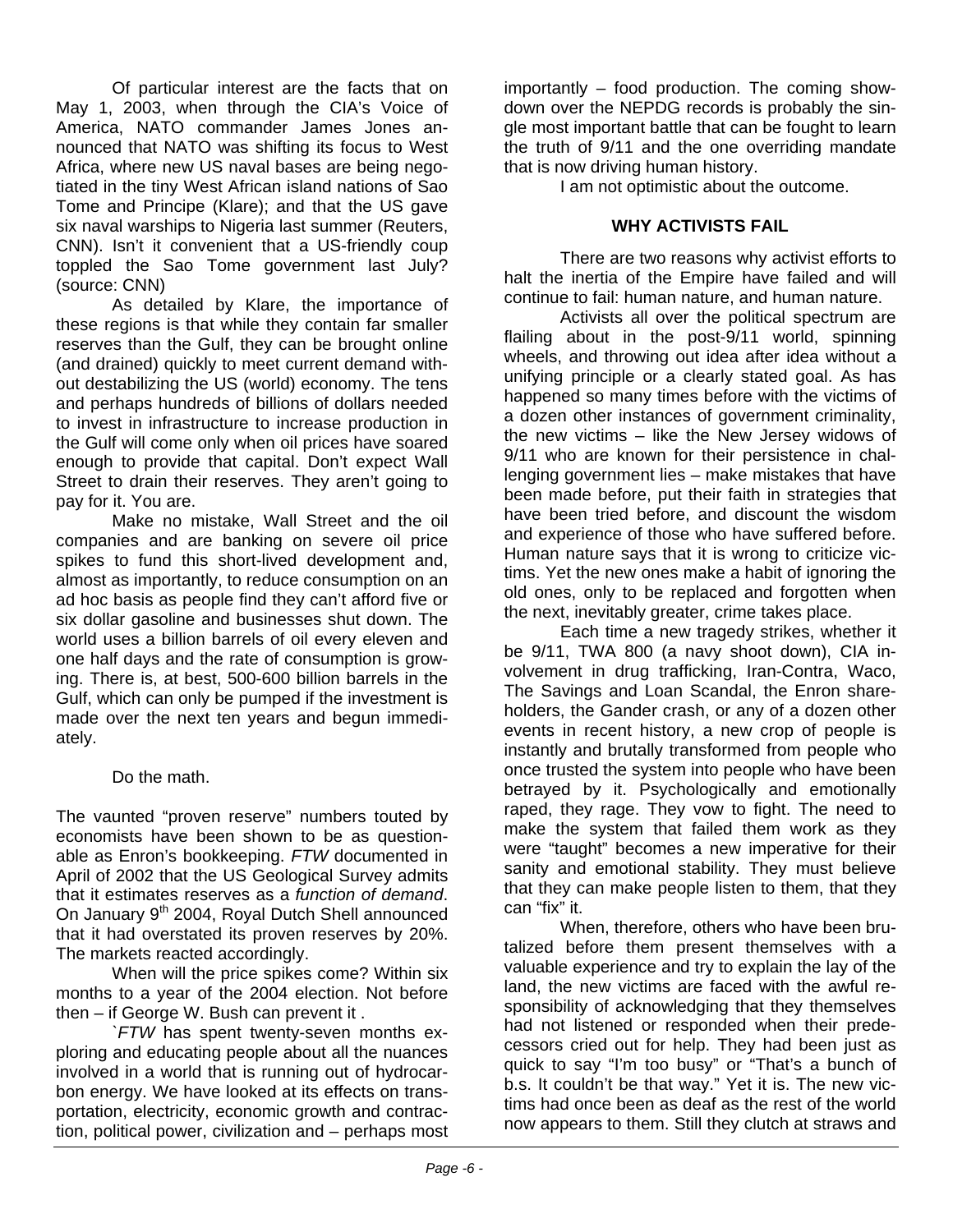Of particular interest are the facts that on May 1, 2003, when through the CIA's Voice of America, NATO commander James Jones announced that NATO was shifting its focus to West Africa, where new US naval bases are being negotiated in the tiny West African island nations of Sao Tome and Principe (Klare); and that the US gave six naval warships to Nigeria last summer (Reuters, CNN). Isn't it convenient that a US-friendly coup toppled the Sao Tome government last July? (source: CNN)

As detailed by Klare, the importance of these regions is that while they contain far smaller reserves than the Gulf, they can be brought online (and drained) quickly to meet current demand without destabilizing the US (world) economy. The tens and perhaps hundreds of billions of dollars needed to invest in infrastructure to increase production in the Gulf will come only when oil prices have soared enough to provide that capital. Don't expect Wall Street to drain their reserves. They aren't going to pay for it. You are.

Make no mistake, Wall Street and the oil companies and are banking on severe oil price spikes to fund this short-lived development and, almost as importantly, to reduce consumption on an ad hoc basis as people find they can't afford five or six dollar gasoline and businesses shut down. The world uses a billion barrels of oil every eleven and one half days and the rate of consumption is growing. There is, at best, 500-600 billion barrels in the Gulf, which can only be pumped if the investment is made over the next ten years and begun immediately.

#### Do the math.

The vaunted "proven reserve" numbers touted by economists have been shown to be as questionable as Enron's bookkeeping. *FTW* documented in April of 2002 that the US Geological Survey admits that it estimates reserves as a *function of demand*. On January 9<sup>th</sup> 2004, Royal Dutch Shell announced that it had overstated its proven reserves by 20%. The markets reacted accordingly.

When will the price spikes come? Within six months to a year of the 2004 election. Not before then – if George W. Bush can prevent it .

*`FTW* has spent twenty-seven months exploring and educating people about all the nuances involved in a world that is running out of hydrocarbon energy. We have looked at its effects on transportation, electricity, economic growth and contraction, political power, civilization and – perhaps most

importantly – food production. The coming showdown over the NEPDG records is probably the single most important battle that can be fought to learn the truth of 9/11 and the one overriding mandate that is now driving human history.

I am not optimistic about the outcome.

#### **WHY ACTIVISTS FAIL**

There are two reasons why activist efforts to halt the inertia of the Empire have failed and will continue to fail: human nature, and human nature.

Activists all over the political spectrum are flailing about in the post-9/11 world, spinning wheels, and throwing out idea after idea without a unifying principle or a clearly stated goal. As has happened so many times before with the victims of a dozen other instances of government criminality, the new victims – like the New Jersey widows of 9/11 who are known for their persistence in challenging government lies – make mistakes that have been made before, put their faith in strategies that have been tried before, and discount the wisdom and experience of those who have suffered before. Human nature says that it is wrong to criticize victims. Yet the new ones make a habit of ignoring the old ones, only to be replaced and forgotten when the next, inevitably greater, crime takes place.

Each time a new tragedy strikes, whether it be 9/11, TWA 800 (a navy shoot down), CIA involvement in drug trafficking, Iran-Contra, Waco, The Savings and Loan Scandal, the Enron shareholders, the Gander crash, or any of a dozen other events in recent history, a new crop of people is instantly and brutally transformed from people who once trusted the system into people who have been betrayed by it. Psychologically and emotionally raped, they rage. They vow to fight. The need to make the system that failed them work as they were "taught" becomes a new imperative for their sanity and emotional stability. They must believe that they can make people listen to them, that they can "fix" it.

When, therefore, others who have been brutalized before them present themselves with a valuable experience and try to explain the lay of the land, the new victims are faced with the awful responsibility of acknowledging that they themselves had not listened or responded when their predecessors cried out for help. They had been just as quick to say "I'm too busy" or "That's a bunch of b.s. It couldn't be that way." Yet it is. The new victims had once been as deaf as the rest of the world now appears to them. Still they clutch at straws and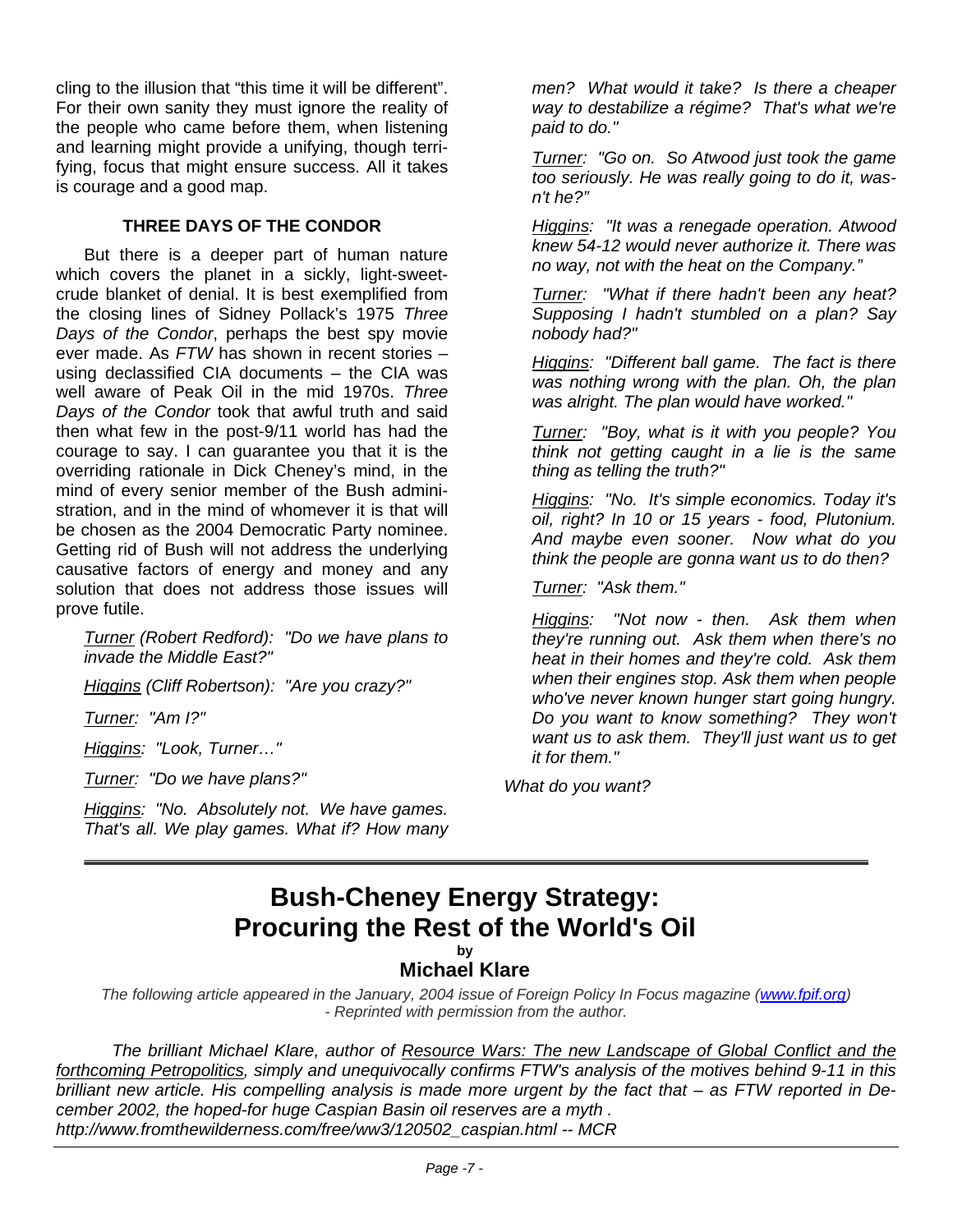cling to the illusion that "this time it will be different". For their own sanity they must ignore the reality of the people who came before them, when listening and learning might provide a unifying, though terrifying, focus that might ensure success. All it takes is courage and a good map.

#### **THREE DAYS OF THE CONDOR**

But there is a deeper part of human nature which covers the planet in a sickly, light-sweetcrude blanket of denial. It is best exemplified from the closing lines of Sidney Pollack's 1975 *Three Days of the Condor*, perhaps the best spy movie ever made. As *FTW* has shown in recent stories – using declassified CIA documents – the CIA was well aware of Peak Oil in the mid 1970s. *Three Days of the Condor* took that awful truth and said then what few in the post-9/11 world has had the courage to say. I can guarantee you that it is the overriding rationale in Dick Cheney's mind, in the mind of every senior member of the Bush administration, and in the mind of whomever it is that will be chosen as the 2004 Democratic Party nominee. Getting rid of Bush will not address the underlying causative factors of energy and money and any solution that does not address those issues will prove futile.

*Turner (Robert Redford): "Do we have plans to invade the Middle East?"* 

*Higgins (Cliff Robertson): "Are you crazy?"* 

*Turner: "Am I?"* 

*Higgins: "Look, Turner…"* 

*Turner: "Do we have plans?"* 

*Higgins: "No. Absolutely not. We have games. That's all. We play games. What if? How many*

*men? What would it take? Is there a cheaper way to destabilize a régime? That's what we're paid to do."* 

*Turner: "Go on. So Atwood just took the game too seriously. He was really going to do it, wasn't he?"*

*Higgins: "It was a renegade operation. Atwood knew 54-12 would never authorize it. There was no way, not with the heat on the Company."*

*Turner: "What if there hadn't been any heat? Supposing I hadn't stumbled on a plan? Say nobody had?"* 

*Higgins: "Different ball game. The fact is there was nothing wrong with the plan. Oh, the plan was alright. The plan would have worked."* 

*Turner: "Boy, what is it with you people? You think not getting caught in a lie is the same thing as telling the truth?"* 

*Higgins: "No. It's simple economics. Today it's oil, right? In 10 or 15 years - food, Plutonium. And maybe even sooner. Now what do you think the people are gonna want us to do then?* 

*Turner: "Ask them."* 

*Higgins: "Not now - then. Ask them when they're running out. Ask them when there's no heat in their homes and they're cold. Ask them when their engines stop. Ask them when people who've never known hunger start going hungry. Do you want to know something? They won't want us to ask them. They'll just want us to get it for them."* 

*What do you want?*

## **Bush-Cheney Energy Strategy: Procuring the Rest of the World's Oil**

**by** 

#### **Michael Klare**

*The following article appeared in the January, 2004 issue of Foreign Policy In Focus magazine (www.fpif.org) - Reprinted with permission from the author.* 

*The brilliant Michael Klare, author of Resource Wars: The new Landscape of Global Conflict and the forthcoming Petropolitics, simply and unequivocally confirms FTW's analysis of the motives behind 9-11 in this brilliant new article. His compelling analysis is made more urgent by the fact that – as FTW reported in December 2002, the hoped-for huge Caspian Basin oil reserves are a myth . http://www.fromthewilderness.com/free/ww3/120502\_caspian.html -- MCR*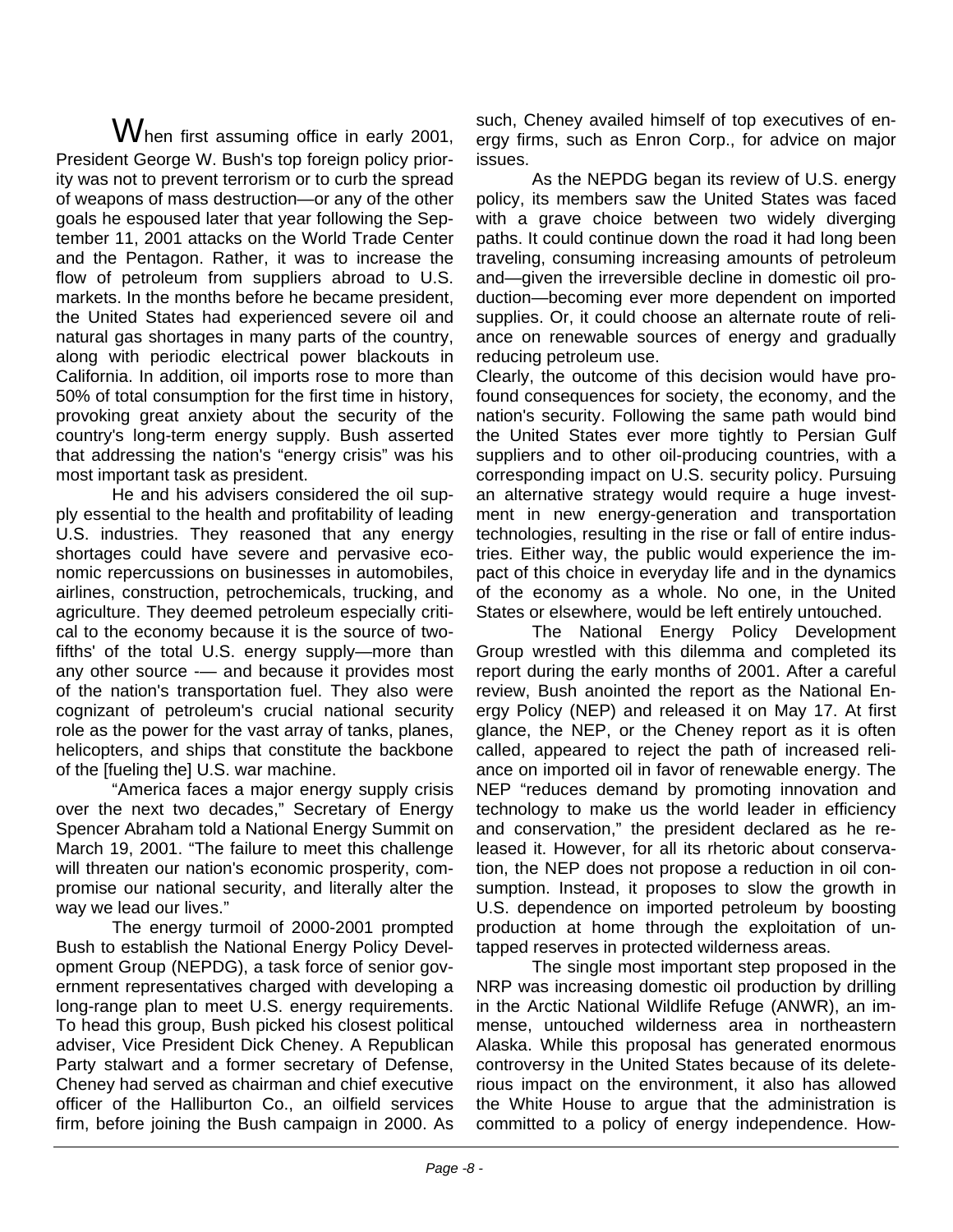When first assuming office in early 2001, President George W. Bush's top foreign policy priority was not to prevent terrorism or to curb the spread of weapons of mass destruction—or any of the other goals he espoused later that year following the September 11, 2001 attacks on the World Trade Center and the Pentagon. Rather, it was to increase the flow of petroleum from suppliers abroad to U.S. markets. In the months before he became president, the United States had experienced severe oil and natural gas shortages in many parts of the country, along with periodic electrical power blackouts in California. In addition, oil imports rose to more than 50% of total consumption for the first time in history, provoking great anxiety about the security of the country's long-term energy supply. Bush asserted that addressing the nation's "energy crisis" was his most important task as president.

He and his advisers considered the oil supply essential to the health and profitability of leading U.S. industries. They reasoned that any energy shortages could have severe and pervasive economic repercussions on businesses in automobiles, airlines, construction, petrochemicals, trucking, and agriculture. They deemed petroleum especially critical to the economy because it is the source of twofifths' of the total U.S. energy supply—more than any other source -— and because it provides most of the nation's transportation fuel. They also were cognizant of petroleum's crucial national security role as the power for the vast array of tanks, planes, helicopters, and ships that constitute the backbone of the [fueling the] U.S. war machine.

"America faces a major energy supply crisis over the next two decades," Secretary of Energy Spencer Abraham told a National Energy Summit on March 19, 2001. "The failure to meet this challenge will threaten our nation's economic prosperity, compromise our national security, and literally alter the way we lead our lives."

The energy turmoil of 2000-2001 prompted Bush to establish the National Energy Policy Development Group (NEPDG), a task force of senior government representatives charged with developing a long-range plan to meet U.S. energy requirements. To head this group, Bush picked his closest political adviser, Vice President Dick Cheney. A Republican Party stalwart and a former secretary of Defense, Cheney had served as chairman and chief executive officer of the Halliburton Co., an oilfield services firm, before joining the Bush campaign in 2000. As such, Cheney availed himself of top executives of energy firms, such as Enron Corp., for advice on major issues.

As the NEPDG began its review of U.S. energy policy, its members saw the United States was faced with a grave choice between two widely diverging paths. It could continue down the road it had long been traveling, consuming increasing amounts of petroleum and—given the irreversible decline in domestic oil production—becoming ever more dependent on imported supplies. Or, it could choose an alternate route of reliance on renewable sources of energy and gradually reducing petroleum use.

Clearly, the outcome of this decision would have profound consequences for society, the economy, and the nation's security. Following the same path would bind the United States ever more tightly to Persian Gulf suppliers and to other oil-producing countries, with a corresponding impact on U.S. security policy. Pursuing an alternative strategy would require a huge investment in new energy-generation and transportation technologies, resulting in the rise or fall of entire industries. Either way, the public would experience the impact of this choice in everyday life and in the dynamics of the economy as a whole. No one, in the United States or elsewhere, would be left entirely untouched.

The National Energy Policy Development Group wrestled with this dilemma and completed its report during the early months of 2001. After a careful review, Bush anointed the report as the National Energy Policy (NEP) and released it on May 17. At first glance, the NEP, or the Cheney report as it is often called, appeared to reject the path of increased reliance on imported oil in favor of renewable energy. The NEP "reduces demand by promoting innovation and technology to make us the world leader in efficiency and conservation," the president declared as he released it. However, for all its rhetoric about conservation, the NEP does not propose a reduction in oil consumption. Instead, it proposes to slow the growth in U.S. dependence on imported petroleum by boosting production at home through the exploitation of untapped reserves in protected wilderness areas.

The single most important step proposed in the NRP was increasing domestic oil production by drilling in the Arctic National Wildlife Refuge (ANWR), an immense, untouched wilderness area in northeastern Alaska. While this proposal has generated enormous controversy in the United States because of its deleterious impact on the environment, it also has allowed the White House to argue that the administration is committed to a policy of energy independence. How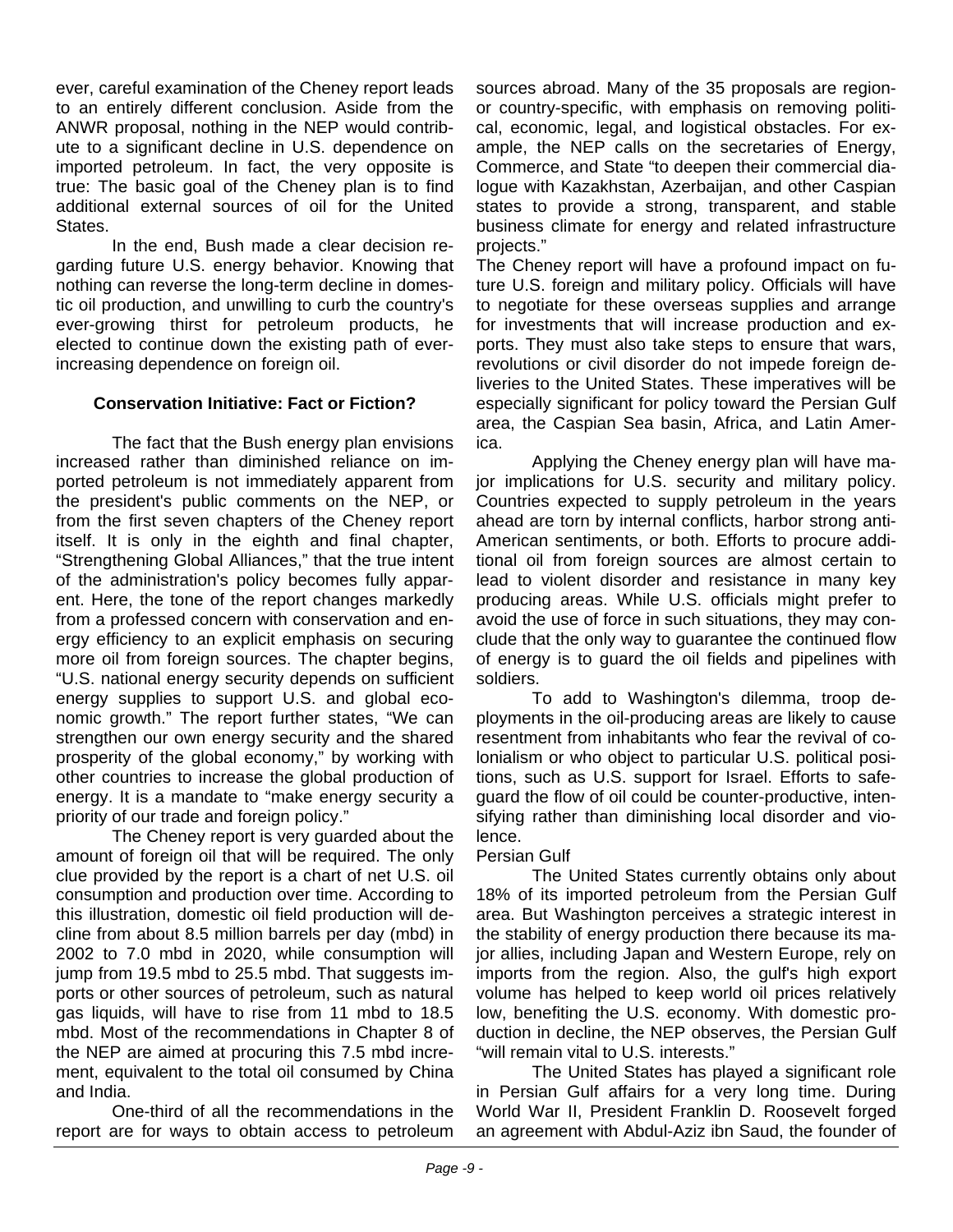ever, careful examination of the Cheney report leads to an entirely different conclusion. Aside from the ANWR proposal, nothing in the NEP would contribute to a significant decline in U.S. dependence on imported petroleum. In fact, the very opposite is true: The basic goal of the Cheney plan is to find additional external sources of oil for the United States.

In the end, Bush made a clear decision regarding future U.S. energy behavior. Knowing that nothing can reverse the long-term decline in domestic oil production, and unwilling to curb the country's ever-growing thirst for petroleum products, he elected to continue down the existing path of everincreasing dependence on foreign oil.

#### **Conservation Initiative: Fact or Fiction?**

The fact that the Bush energy plan envisions increased rather than diminished reliance on imported petroleum is not immediately apparent from the president's public comments on the NEP, or from the first seven chapters of the Cheney report itself. It is only in the eighth and final chapter, "Strengthening Global Alliances," that the true intent of the administration's policy becomes fully apparent. Here, the tone of the report changes markedly from a professed concern with conservation and energy efficiency to an explicit emphasis on securing more oil from foreign sources. The chapter begins, "U.S. national energy security depends on sufficient energy supplies to support U.S. and global economic growth." The report further states, "We can strengthen our own energy security and the shared prosperity of the global economy," by working with other countries to increase the global production of energy. It is a mandate to "make energy security a priority of our trade and foreign policy."

The Cheney report is very guarded about the amount of foreign oil that will be required. The only clue provided by the report is a chart of net U.S. oil consumption and production over time. According to this illustration, domestic oil field production will decline from about 8.5 million barrels per day (mbd) in 2002 to 7.0 mbd in 2020, while consumption will jump from 19.5 mbd to 25.5 mbd. That suggests imports or other sources of petroleum, such as natural gas liquids, will have to rise from 11 mbd to 18.5 mbd. Most of the recommendations in Chapter 8 of the NEP are aimed at procuring this 7.5 mbd increment, equivalent to the total oil consumed by China and India.

One-third of all the recommendations in the report are for ways to obtain access to petroleum sources abroad. Many of the 35 proposals are regionor country-specific, with emphasis on removing political, economic, legal, and logistical obstacles. For example, the NEP calls on the secretaries of Energy. Commerce, and State "to deepen their commercial dialogue with Kazakhstan, Azerbaijan, and other Caspian states to provide a strong, transparent, and stable business climate for energy and related infrastructure projects."

The Cheney report will have a profound impact on future U.S. foreign and military policy. Officials will have to negotiate for these overseas supplies and arrange for investments that will increase production and exports. They must also take steps to ensure that wars, revolutions or civil disorder do not impede foreign deliveries to the United States. These imperatives will be especially significant for policy toward the Persian Gulf area, the Caspian Sea basin, Africa, and Latin America.

Applying the Cheney energy plan will have major implications for U.S. security and military policy. Countries expected to supply petroleum in the years ahead are torn by internal conflicts, harbor strong anti-American sentiments, or both. Efforts to procure additional oil from foreign sources are almost certain to lead to violent disorder and resistance in many key producing areas. While U.S. officials might prefer to avoid the use of force in such situations, they may conclude that the only way to guarantee the continued flow of energy is to guard the oil fields and pipelines with soldiers.

To add to Washington's dilemma, troop deployments in the oil-producing areas are likely to cause resentment from inhabitants who fear the revival of colonialism or who object to particular U.S. political positions, such as U.S. support for Israel. Efforts to safeguard the flow of oil could be counter-productive, intensifying rather than diminishing local disorder and violence.

#### Persian Gulf

The United States currently obtains only about 18% of its imported petroleum from the Persian Gulf area. But Washington perceives a strategic interest in the stability of energy production there because its major allies, including Japan and Western Europe, rely on imports from the region. Also, the gulf's high export volume has helped to keep world oil prices relatively low, benefiting the U.S. economy. With domestic production in decline, the NEP observes, the Persian Gulf "will remain vital to U.S. interests."

The United States has played a significant role in Persian Gulf affairs for a very long time. During World War II, President Franklin D. Roosevelt forged an agreement with Abdul-Aziz ibn Saud, the founder of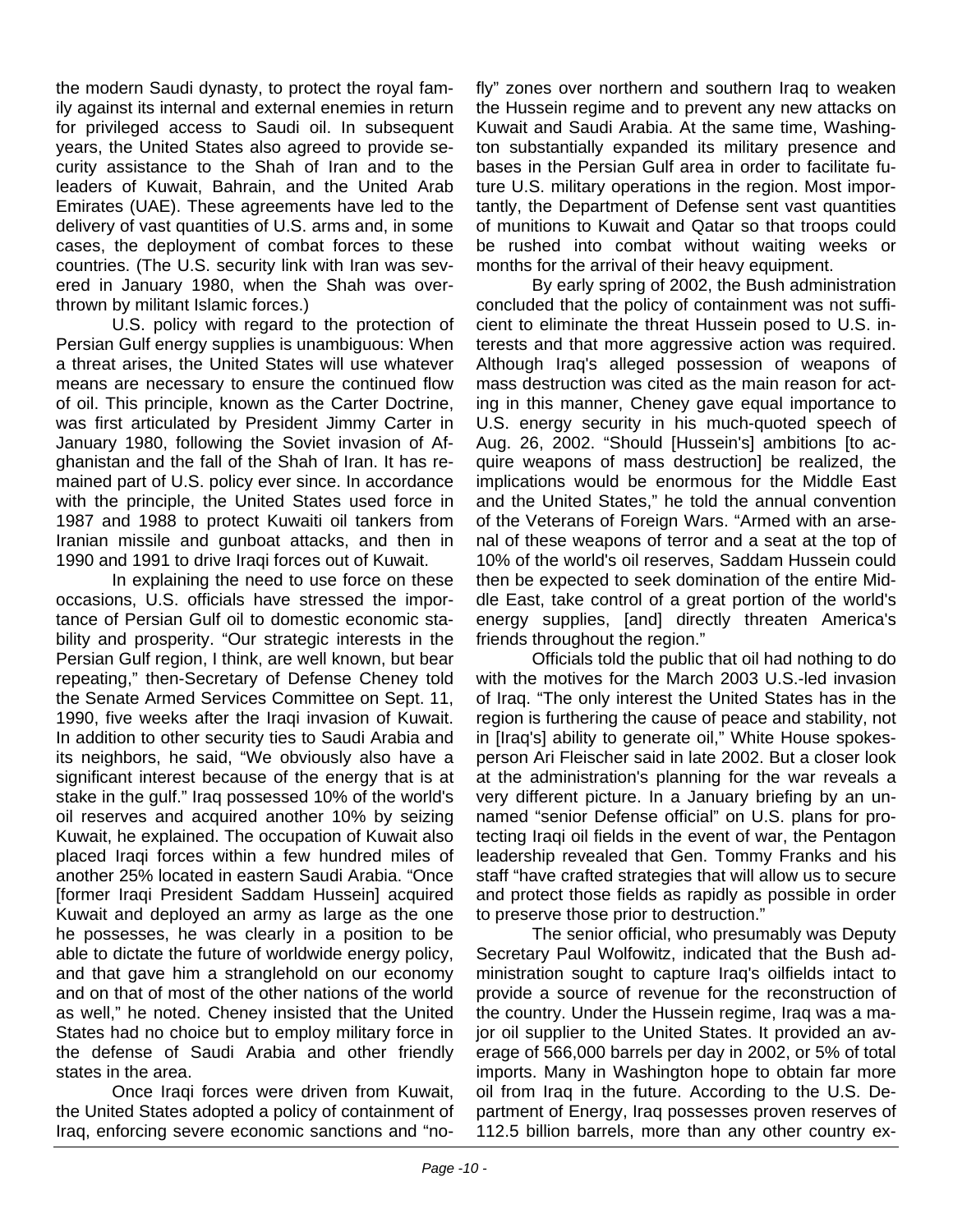the modern Saudi dynasty, to protect the royal family against its internal and external enemies in return for privileged access to Saudi oil. In subsequent years, the United States also agreed to provide security assistance to the Shah of Iran and to the leaders of Kuwait, Bahrain, and the United Arab Emirates (UAE). These agreements have led to the delivery of vast quantities of U.S. arms and, in some cases, the deployment of combat forces to these countries. (The U.S. security link with Iran was severed in January 1980, when the Shah was overthrown by militant Islamic forces.)

U.S. policy with regard to the protection of Persian Gulf energy supplies is unambiguous: When a threat arises, the United States will use whatever means are necessary to ensure the continued flow of oil. This principle, known as the Carter Doctrine, was first articulated by President Jimmy Carter in January 1980, following the Soviet invasion of Afghanistan and the fall of the Shah of Iran. It has remained part of U.S. policy ever since. In accordance with the principle, the United States used force in 1987 and 1988 to protect Kuwaiti oil tankers from Iranian missile and gunboat attacks, and then in 1990 and 1991 to drive Iraqi forces out of Kuwait.

In explaining the need to use force on these occasions, U.S. officials have stressed the importance of Persian Gulf oil to domestic economic stability and prosperity. "Our strategic interests in the Persian Gulf region, I think, are well known, but bear repeating," then-Secretary of Defense Cheney told the Senate Armed Services Committee on Sept. 11, 1990, five weeks after the Iraqi invasion of Kuwait. In addition to other security ties to Saudi Arabia and its neighbors, he said, "We obviously also have a significant interest because of the energy that is at stake in the gulf." Iraq possessed 10% of the world's oil reserves and acquired another 10% by seizing Kuwait, he explained. The occupation of Kuwait also placed Iraqi forces within a few hundred miles of another 25% located in eastern Saudi Arabia. "Once [former Iraqi President Saddam Hussein] acquired Kuwait and deployed an army as large as the one he possesses, he was clearly in a position to be able to dictate the future of worldwide energy policy, and that gave him a stranglehold on our economy and on that of most of the other nations of the world as well," he noted. Cheney insisted that the United States had no choice but to employ military force in the defense of Saudi Arabia and other friendly states in the area.

Once Iraqi forces were driven from Kuwait, the United States adopted a policy of containment of Iraq, enforcing severe economic sanctions and "nofly" zones over northern and southern Iraq to weaken the Hussein regime and to prevent any new attacks on Kuwait and Saudi Arabia. At the same time, Washington substantially expanded its military presence and bases in the Persian Gulf area in order to facilitate future U.S. military operations in the region. Most importantly, the Department of Defense sent vast quantities of munitions to Kuwait and Qatar so that troops could be rushed into combat without waiting weeks or months for the arrival of their heavy equipment.

By early spring of 2002, the Bush administration concluded that the policy of containment was not sufficient to eliminate the threat Hussein posed to U.S. interests and that more aggressive action was required. Although Iraq's alleged possession of weapons of mass destruction was cited as the main reason for acting in this manner, Cheney gave equal importance to U.S. energy security in his much-quoted speech of Aug. 26, 2002. "Should [Hussein's] ambitions [to acquire weapons of mass destruction] be realized, the implications would be enormous for the Middle East and the United States," he told the annual convention of the Veterans of Foreign Wars. "Armed with an arsenal of these weapons of terror and a seat at the top of 10% of the world's oil reserves, Saddam Hussein could then be expected to seek domination of the entire Middle East, take control of a great portion of the world's energy supplies, [and] directly threaten America's friends throughout the region."

Officials told the public that oil had nothing to do with the motives for the March 2003 U.S.-led invasion of Iraq. "The only interest the United States has in the region is furthering the cause of peace and stability, not in [Iraq's] ability to generate oil," White House spokesperson Ari Fleischer said in late 2002. But a closer look at the administration's planning for the war reveals a very different picture. In a January briefing by an unnamed "senior Defense official" on U.S. plans for protecting Iraqi oil fields in the event of war, the Pentagon leadership revealed that Gen. Tommy Franks and his staff "have crafted strategies that will allow us to secure and protect those fields as rapidly as possible in order to preserve those prior to destruction."

The senior official, who presumably was Deputy Secretary Paul Wolfowitz, indicated that the Bush administration sought to capture Iraq's oilfields intact to provide a source of revenue for the reconstruction of the country. Under the Hussein regime, Iraq was a major oil supplier to the United States. It provided an average of 566,000 barrels per day in 2002, or 5% of total imports. Many in Washington hope to obtain far more oil from Iraq in the future. According to the U.S. Department of Energy, Iraq possesses proven reserves of 112.5 billion barrels, more than any other country ex-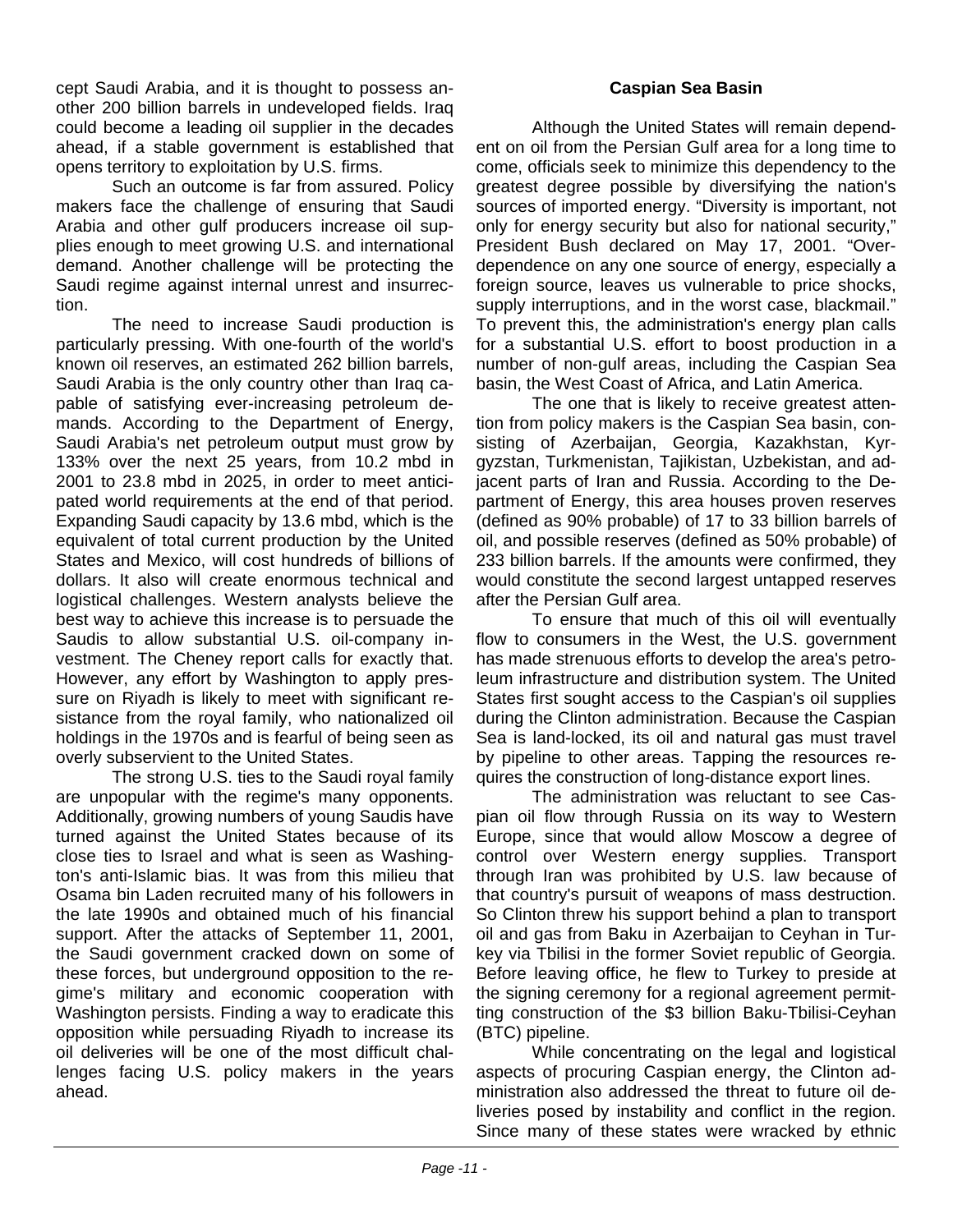cept Saudi Arabia, and it is thought to possess another 200 billion barrels in undeveloped fields. Iraq could become a leading oil supplier in the decades ahead, if a stable government is established that opens territory to exploitation by U.S. firms.

Such an outcome is far from assured. Policy makers face the challenge of ensuring that Saudi Arabia and other gulf producers increase oil supplies enough to meet growing U.S. and international demand. Another challenge will be protecting the Saudi regime against internal unrest and insurrection.

The need to increase Saudi production is particularly pressing. With one-fourth of the world's known oil reserves, an estimated 262 billion barrels, Saudi Arabia is the only country other than Iraq capable of satisfying ever-increasing petroleum demands. According to the Department of Energy, Saudi Arabia's net petroleum output must grow by 133% over the next 25 years, from 10.2 mbd in 2001 to 23.8 mbd in 2025, in order to meet anticipated world requirements at the end of that period. Expanding Saudi capacity by 13.6 mbd, which is the equivalent of total current production by the United States and Mexico, will cost hundreds of billions of dollars. It also will create enormous technical and logistical challenges. Western analysts believe the best way to achieve this increase is to persuade the Saudis to allow substantial U.S. oil-company investment. The Cheney report calls for exactly that. However, any effort by Washington to apply pressure on Riyadh is likely to meet with significant resistance from the royal family, who nationalized oil holdings in the 1970s and is fearful of being seen as overly subservient to the United States.

The strong U.S. ties to the Saudi royal family are unpopular with the regime's many opponents. Additionally, growing numbers of young Saudis have turned against the United States because of its close ties to Israel and what is seen as Washington's anti-Islamic bias. It was from this milieu that Osama bin Laden recruited many of his followers in the late 1990s and obtained much of his financial support. After the attacks of September 11, 2001, the Saudi government cracked down on some of these forces, but underground opposition to the regime's military and economic cooperation with Washington persists. Finding a way to eradicate this opposition while persuading Riyadh to increase its oil deliveries will be one of the most difficult challenges facing U.S. policy makers in the years ahead.

#### **Caspian Sea Basin**

Although the United States will remain dependent on oil from the Persian Gulf area for a long time to come, officials seek to minimize this dependency to the greatest degree possible by diversifying the nation's sources of imported energy. "Diversity is important, not only for energy security but also for national security," President Bush declared on May 17, 2001. "Overdependence on any one source of energy, especially a foreign source, leaves us vulnerable to price shocks, supply interruptions, and in the worst case, blackmail." To prevent this, the administration's energy plan calls for a substantial U.S. effort to boost production in a number of non-gulf areas, including the Caspian Sea basin, the West Coast of Africa, and Latin America.

The one that is likely to receive greatest attention from policy makers is the Caspian Sea basin, consisting of Azerbaijan, Georgia, Kazakhstan, Kyrgyzstan, Turkmenistan, Tajikistan, Uzbekistan, and adjacent parts of Iran and Russia. According to the Department of Energy, this area houses proven reserves (defined as 90% probable) of 17 to 33 billion barrels of oil, and possible reserves (defined as 50% probable) of 233 billion barrels. If the amounts were confirmed, they would constitute the second largest untapped reserves after the Persian Gulf area.

To ensure that much of this oil will eventually flow to consumers in the West, the U.S. government has made strenuous efforts to develop the area's petroleum infrastructure and distribution system. The United States first sought access to the Caspian's oil supplies during the Clinton administration. Because the Caspian Sea is land-locked, its oil and natural gas must travel by pipeline to other areas. Tapping the resources requires the construction of long-distance export lines.

The administration was reluctant to see Caspian oil flow through Russia on its way to Western Europe, since that would allow Moscow a degree of control over Western energy supplies. Transport through Iran was prohibited by U.S. law because of that country's pursuit of weapons of mass destruction. So Clinton threw his support behind a plan to transport oil and gas from Baku in Azerbaijan to Ceyhan in Turkey via Tbilisi in the former Soviet republic of Georgia. Before leaving office, he flew to Turkey to preside at the signing ceremony for a regional agreement permitting construction of the \$3 billion Baku-Tbilisi-Ceyhan (BTC) pipeline.

While concentrating on the legal and logistical aspects of procuring Caspian energy, the Clinton administration also addressed the threat to future oil deliveries posed by instability and conflict in the region. Since many of these states were wracked by ethnic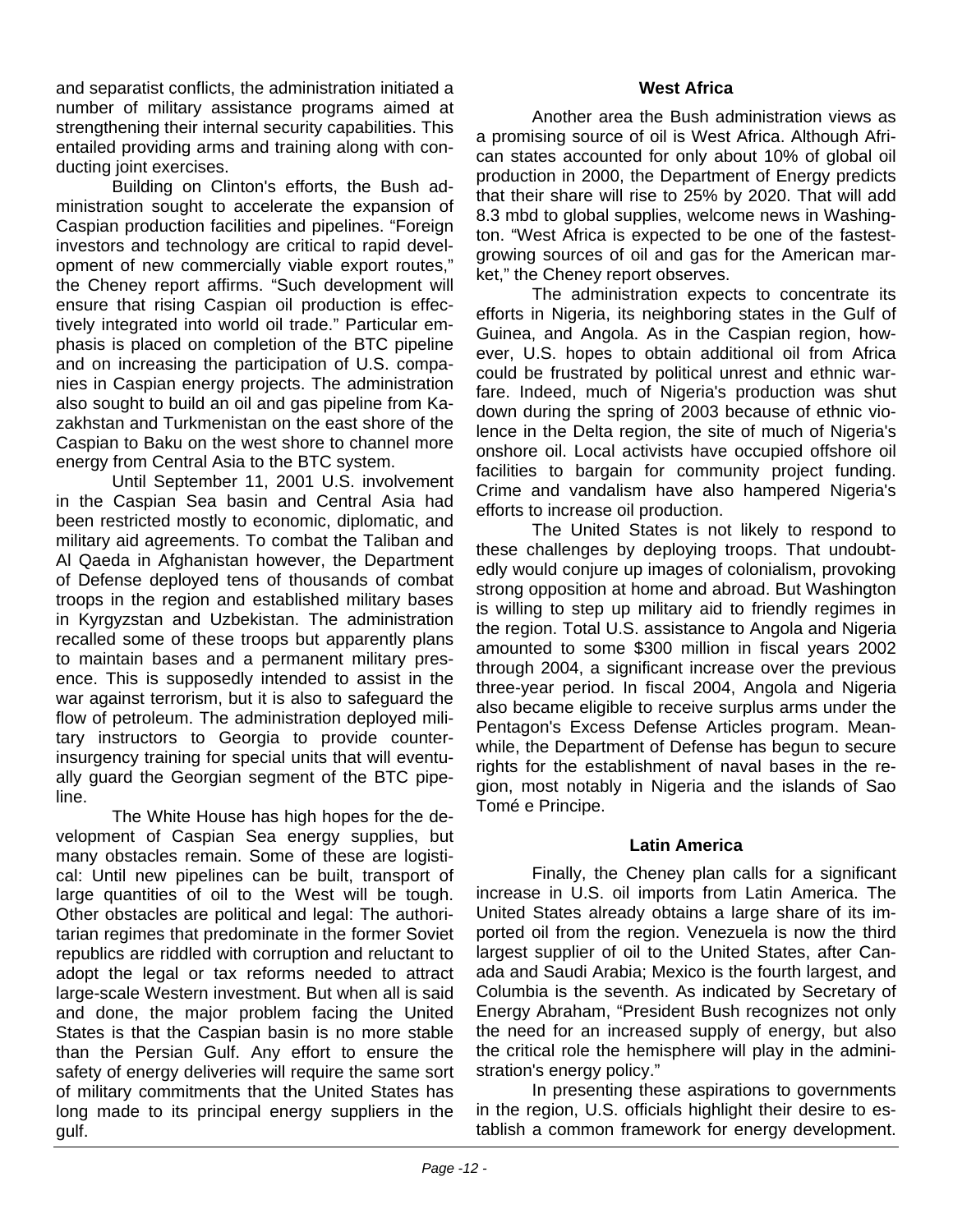and separatist conflicts, the administration initiated a number of military assistance programs aimed at strengthening their internal security capabilities. This entailed providing arms and training along with conducting joint exercises.

Building on Clinton's efforts, the Bush administration sought to accelerate the expansion of Caspian production facilities and pipelines. "Foreign investors and technology are critical to rapid development of new commercially viable export routes," the Cheney report affirms. "Such development will ensure that rising Caspian oil production is effectively integrated into world oil trade." Particular emphasis is placed on completion of the BTC pipeline and on increasing the participation of U.S. companies in Caspian energy projects. The administration also sought to build an oil and gas pipeline from Kazakhstan and Turkmenistan on the east shore of the Caspian to Baku on the west shore to channel more energy from Central Asia to the BTC system.

Until September 11, 2001 U.S. involvement in the Caspian Sea basin and Central Asia had been restricted mostly to economic, diplomatic, and military aid agreements. To combat the Taliban and Al Qaeda in Afghanistan however, the Department of Defense deployed tens of thousands of combat troops in the region and established military bases in Kyrgyzstan and Uzbekistan. The administration recalled some of these troops but apparently plans to maintain bases and a permanent military presence. This is supposedly intended to assist in the war against terrorism, but it is also to safeguard the flow of petroleum. The administration deployed military instructors to Georgia to provide counterinsurgency training for special units that will eventually guard the Georgian segment of the BTC pipeline.

The White House has high hopes for the development of Caspian Sea energy supplies, but many obstacles remain. Some of these are logistical: Until new pipelines can be built, transport of large quantities of oil to the West will be tough. Other obstacles are political and legal: The authoritarian regimes that predominate in the former Soviet republics are riddled with corruption and reluctant to adopt the legal or tax reforms needed to attract large-scale Western investment. But when all is said and done, the major problem facing the United States is that the Caspian basin is no more stable than the Persian Gulf. Any effort to ensure the safety of energy deliveries will require the same sort of military commitments that the United States has long made to its principal energy suppliers in the gulf.

#### **West Africa**

Another area the Bush administration views as a promising source of oil is West Africa. Although African states accounted for only about 10% of global oil production in 2000, the Department of Energy predicts that their share will rise to 25% by 2020. That will add 8.3 mbd to global supplies, welcome news in Washington. "West Africa is expected to be one of the fastestgrowing sources of oil and gas for the American market," the Cheney report observes.

The administration expects to concentrate its efforts in Nigeria, its neighboring states in the Gulf of Guinea, and Angola. As in the Caspian region, however, U.S. hopes to obtain additional oil from Africa could be frustrated by political unrest and ethnic warfare. Indeed, much of Nigeria's production was shut down during the spring of 2003 because of ethnic violence in the Delta region, the site of much of Nigeria's onshore oil. Local activists have occupied offshore oil facilities to bargain for community project funding. Crime and vandalism have also hampered Nigeria's efforts to increase oil production.

The United States is not likely to respond to these challenges by deploying troops. That undoubtedly would conjure up images of colonialism, provoking strong opposition at home and abroad. But Washington is willing to step up military aid to friendly regimes in the region. Total U.S. assistance to Angola and Nigeria amounted to some \$300 million in fiscal years 2002 through 2004, a significant increase over the previous three-year period. In fiscal 2004, Angola and Nigeria also became eligible to receive surplus arms under the Pentagon's Excess Defense Articles program. Meanwhile, the Department of Defense has begun to secure rights for the establishment of naval bases in the region, most notably in Nigeria and the islands of Sao Tomé e Principe.

#### **Latin America**

Finally, the Cheney plan calls for a significant increase in U.S. oil imports from Latin America. The United States already obtains a large share of its imported oil from the region. Venezuela is now the third largest supplier of oil to the United States, after Canada and Saudi Arabia; Mexico is the fourth largest, and Columbia is the seventh. As indicated by Secretary of Energy Abraham, "President Bush recognizes not only the need for an increased supply of energy, but also the critical role the hemisphere will play in the administration's energy policy."

In presenting these aspirations to governments in the region, U.S. officials highlight their desire to establish a common framework for energy development.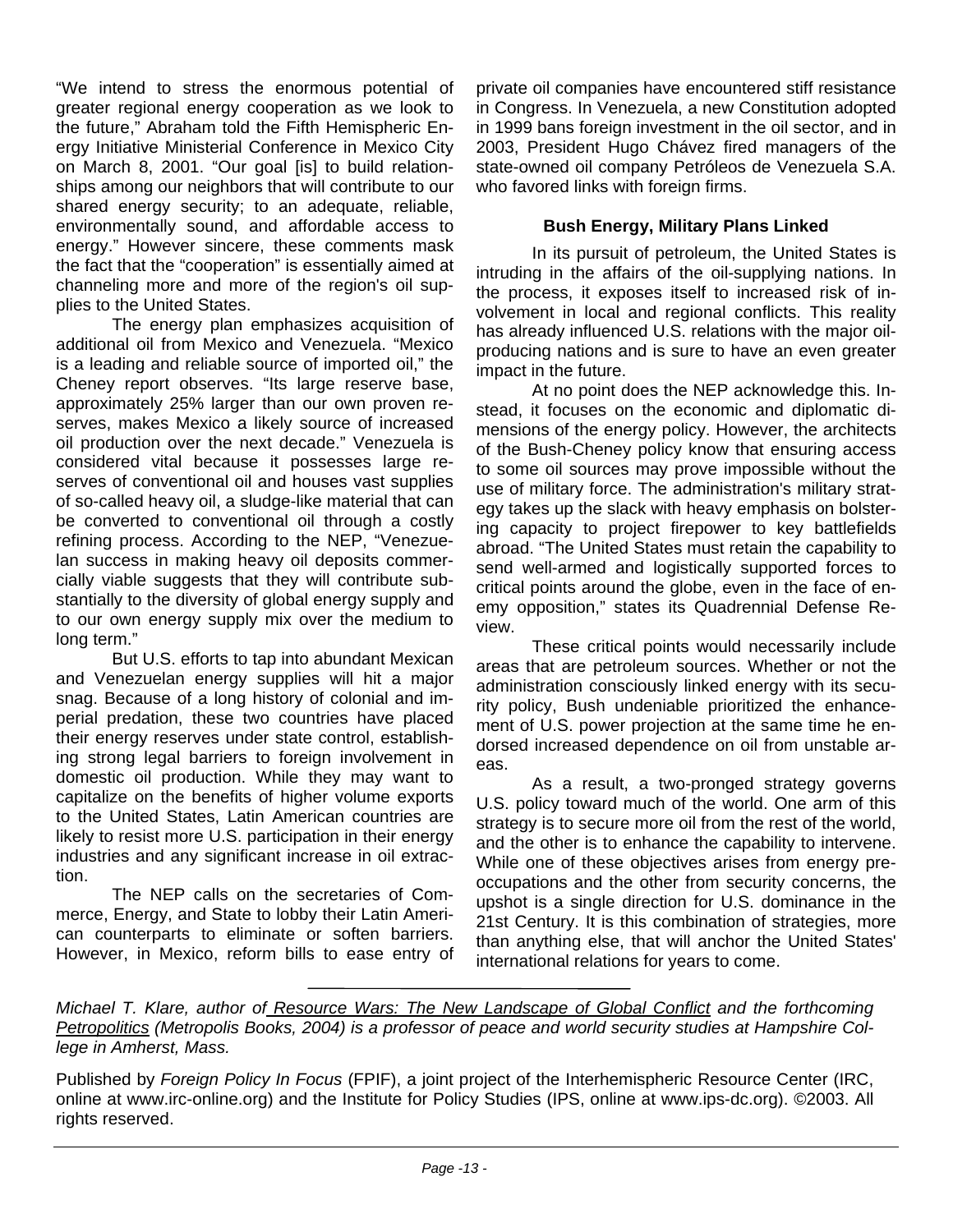"We intend to stress the enormous potential of greater regional energy cooperation as we look to the future," Abraham told the Fifth Hemispheric Energy Initiative Ministerial Conference in Mexico City on March 8, 2001. "Our goal [is] to build relationships among our neighbors that will contribute to our shared energy security; to an adequate, reliable, environmentally sound, and affordable access to energy." However sincere, these comments mask the fact that the "cooperation" is essentially aimed at channeling more and more of the region's oil supplies to the United States.

The energy plan emphasizes acquisition of additional oil from Mexico and Venezuela. "Mexico is a leading and reliable source of imported oil," the Cheney report observes. "Its large reserve base, approximately 25% larger than our own proven reserves, makes Mexico a likely source of increased oil production over the next decade." Venezuela is considered vital because it possesses large reserves of conventional oil and houses vast supplies of so-called heavy oil, a sludge-like material that can be converted to conventional oil through a costly refining process. According to the NEP, "Venezuelan success in making heavy oil deposits commercially viable suggests that they will contribute substantially to the diversity of global energy supply and to our own energy supply mix over the medium to long term."

But U.S. efforts to tap into abundant Mexican and Venezuelan energy supplies will hit a major snag. Because of a long history of colonial and imperial predation, these two countries have placed their energy reserves under state control, establishing strong legal barriers to foreign involvement in domestic oil production. While they may want to capitalize on the benefits of higher volume exports to the United States, Latin American countries are likely to resist more U.S. participation in their energy industries and any significant increase in oil extraction.

The NEP calls on the secretaries of Commerce, Energy, and State to lobby their Latin American counterparts to eliminate or soften barriers. However, in Mexico, reform bills to ease entry of private oil companies have encountered stiff resistance in Congress. In Venezuela, a new Constitution adopted in 1999 bans foreign investment in the oil sector, and in 2003, President Hugo Chávez fired managers of the state-owned oil company Petróleos de Venezuela S.A. who favored links with foreign firms.

#### **Bush Energy, Military Plans Linked**

In its pursuit of petroleum, the United States is intruding in the affairs of the oil-supplying nations. In the process, it exposes itself to increased risk of involvement in local and regional conflicts. This reality has already influenced U.S. relations with the major oilproducing nations and is sure to have an even greater impact in the future.

At no point does the NEP acknowledge this. Instead, it focuses on the economic and diplomatic dimensions of the energy policy. However, the architects of the Bush-Cheney policy know that ensuring access to some oil sources may prove impossible without the use of military force. The administration's military strategy takes up the slack with heavy emphasis on bolstering capacity to project firepower to key battlefields abroad. "The United States must retain the capability to send well-armed and logistically supported forces to critical points around the globe, even in the face of enemy opposition," states its Quadrennial Defense Review.

These critical points would necessarily include areas that are petroleum sources. Whether or not the administration consciously linked energy with its security policy, Bush undeniable prioritized the enhancement of U.S. power projection at the same time he endorsed increased dependence on oil from unstable areas.

As a result, a two-pronged strategy governs U.S. policy toward much of the world. One arm of this strategy is to secure more oil from the rest of the world, and the other is to enhance the capability to intervene. While one of these objectives arises from energy preoccupations and the other from security concerns, the upshot is a single direction for U.S. dominance in the 21st Century. It is this combination of strategies, more than anything else, that will anchor the United States' international relations for years to come.

*Michael T. Klare, author of Resource Wars: The New Landscape of Global Conflict and the forthcoming Petropolitics (Metropolis Books, 2004) is a professor of peace and world security studies at Hampshire College in Amherst, Mass.* 

Published by *Foreign Policy In Focus* (FPIF), a joint project of the Interhemispheric Resource Center (IRC, online at www.irc-online.org) and the Institute for Policy Studies (IPS, online at www.ips-dc.org). ©2003. All rights reserved.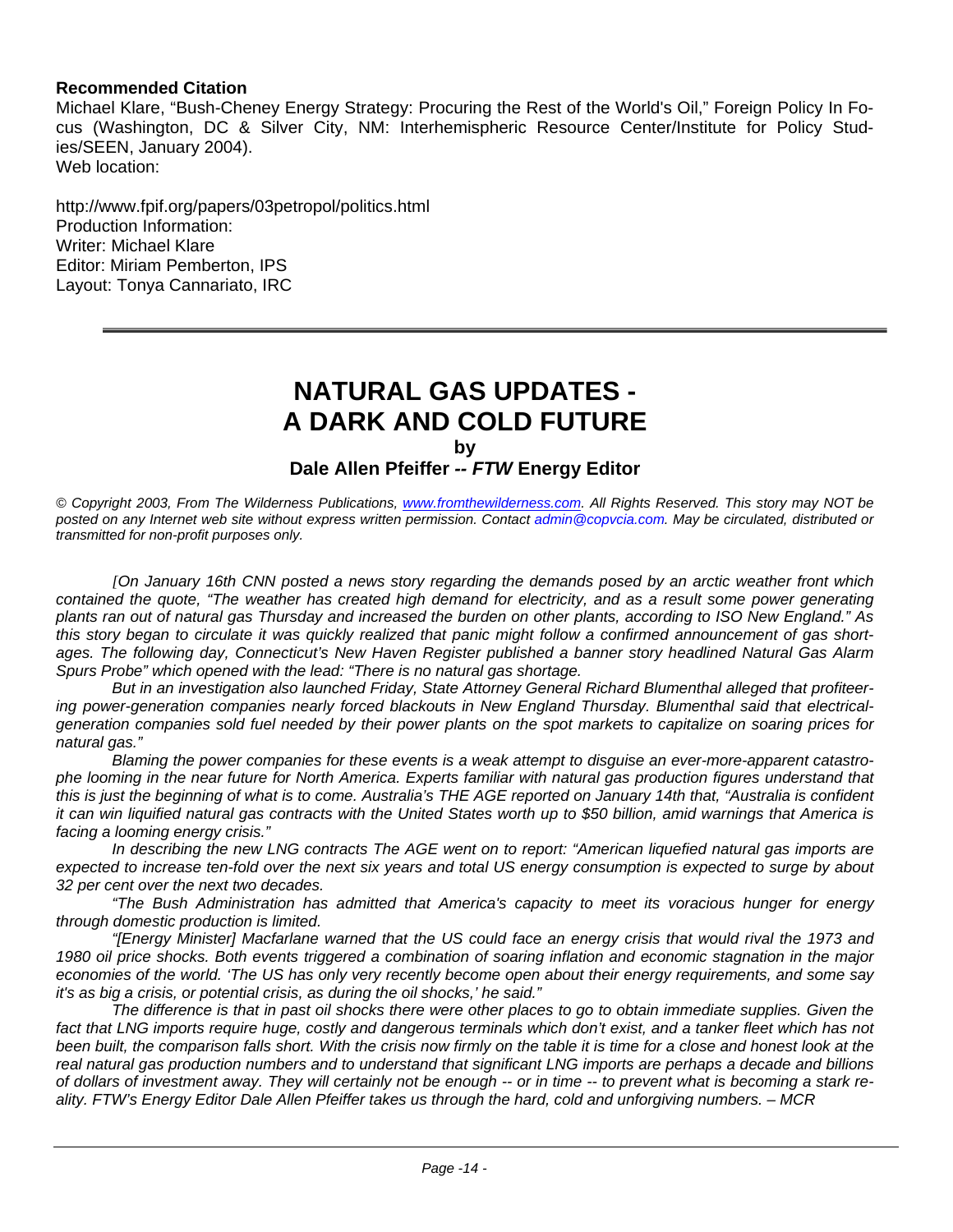#### **Recommended Citation**

Michael Klare, "Bush-Cheney Energy Strategy: Procuring the Rest of the World's Oil," Foreign Policy In Focus (Washington, DC & Silver City, NM: Interhemispheric Resource Center/Institute for Policy Studies/SEEN, January 2004). Web location:

http://www.fpif.org/papers/03petropol/politics.html Production Information: Writer: Michael Klare Editor: Miriam Pemberton, IPS Layout: Tonya Cannariato, IRC

### **NATURAL GAS UPDATES - A DARK AND COLD FUTURE**

**by**

#### **Dale Allen Pfeiffer** *-- FTW* **Energy Editor**

*© Copyright 2003, From The Wilderness Publications, www.fromthewilderness.com. All Rights Reserved. This story may NOT be posted on any Internet web site without express written permission. Contact admin@copvcia.com. May be circulated, distributed or transmitted for non-profit purposes only.* 

*[On January 16th CNN posted a news story regarding the demands posed by an arctic weather front which contained the quote, "The weather has created high demand for electricity, and as a result some power generating plants ran out of natural gas Thursday and increased the burden on other plants, according to ISO New England." As this story began to circulate it was quickly realized that panic might follow a confirmed announcement of gas shortages. The following day, Connecticut's New Haven Register published a banner story headlined Natural Gas Alarm Spurs Probe" which opened with the lead: "There is no natural gas shortage.*

*But in an investigation also launched Friday, State Attorney General Richard Blumenthal alleged that profiteering power-generation companies nearly forced blackouts in New England Thursday. Blumenthal said that electricalgeneration companies sold fuel needed by their power plants on the spot markets to capitalize on soaring prices for natural gas."*

*Blaming the power companies for these events is a weak attempt to disguise an ever-more-apparent catastrophe looming in the near future for North America. Experts familiar with natural gas production figures understand that this is just the beginning of what is to come. Australia's THE AGE reported on January 14th that, "Australia is confident it can win liquified natural gas contracts with the United States worth up to \$50 billion, amid warnings that America is facing a looming energy crisis."*

*In describing the new LNG contracts The AGE went on to report: "American liquefied natural gas imports are expected to increase ten-fold over the next six years and total US energy consumption is expected to surge by about 32 per cent over the next two decades.* 

*"The Bush Administration has admitted that America's capacity to meet its voracious hunger for energy through domestic production is limited.* 

*"[Energy Minister] Macfarlane warned that the US could face an energy crisis that would rival the 1973 and 1980 oil price shocks. Both events triggered a combination of soaring inflation and economic stagnation in the major economies of the world. 'The US has only very recently become open about their energy requirements, and some say it's as big a crisis, or potential crisis, as during the oil shocks,' he said."*

*The difference is that in past oil shocks there were other places to go to obtain immediate supplies. Given the* fact that LNG imports require huge, costly and dangerous terminals which don't exist, and a tanker fleet which has not *been built, the comparison falls short. With the crisis now firmly on the table it is time for a close and honest look at the real natural gas production numbers and to understand that significant LNG imports are perhaps a decade and billions of dollars of investment away. They will certainly not be enough -- or in time -- to prevent what is becoming a stark reality. FTW's Energy Editor Dale Allen Pfeiffer takes us through the hard, cold and unforgiving numbers. – MCR*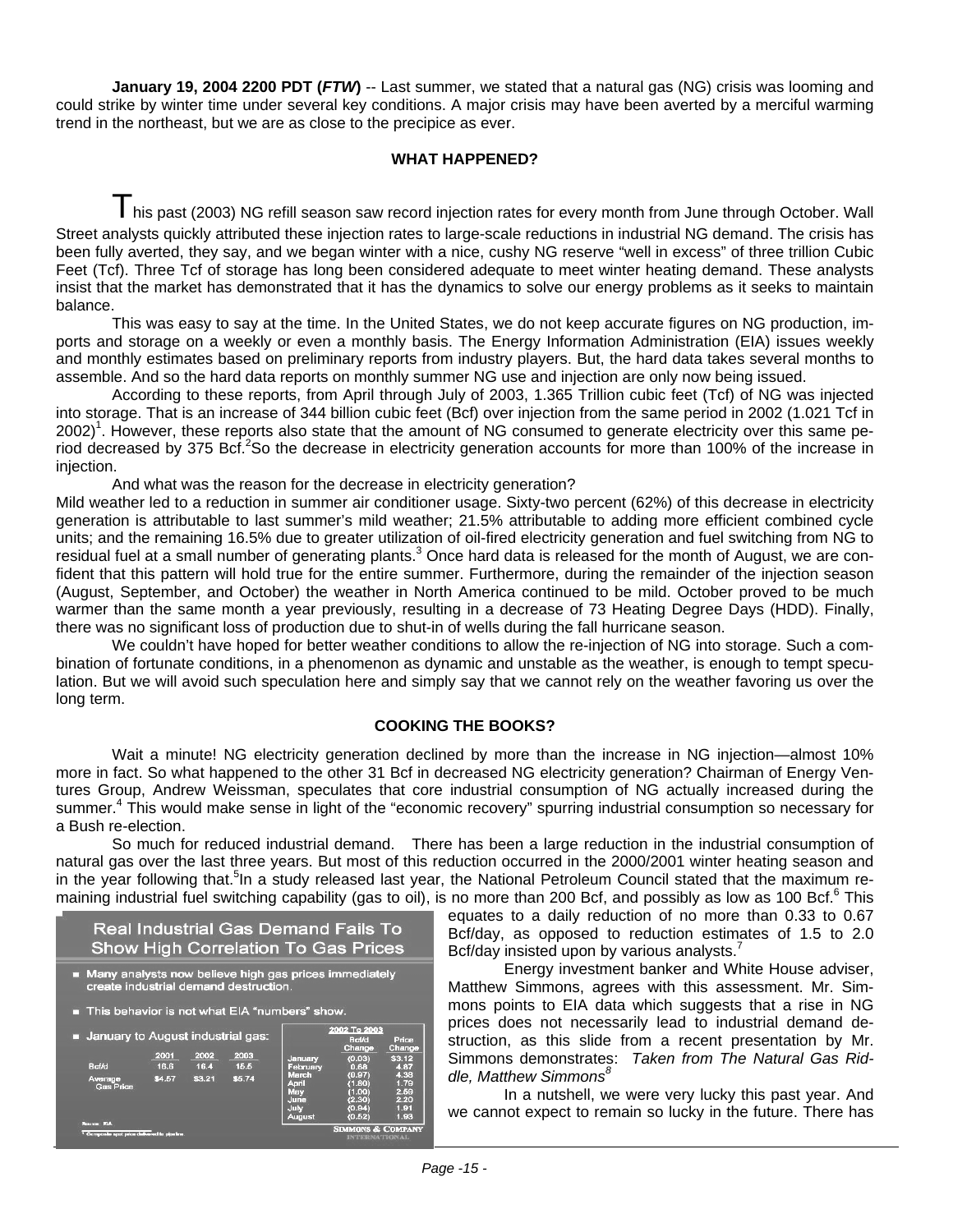**January 19, 2004 2200 PDT (***FTW***)** -- Last summer, we stated that a natural gas (NG) crisis was looming and could strike by winter time under several key conditions. A major crisis may have been averted by a merciful warming trend in the northeast, but we are as close to the precipice as ever.

#### **WHAT HAPPENED?**

I his past (2003) NG refill season saw record injection rates for every month from June through October. Wall Street analysts quickly attributed these injection rates to large-scale reductions in industrial NG demand. The crisis has been fully averted, they say, and we began winter with a nice, cushy NG reserve "well in excess" of three trillion Cubic Feet (Tcf). Three Tcf of storage has long been considered adequate to meet winter heating demand. These analysts insist that the market has demonstrated that it has the dynamics to solve our energy problems as it seeks to maintain balance.

This was easy to say at the time. In the United States, we do not keep accurate figures on NG production, imports and storage on a weekly or even a monthly basis. The Energy Information Administration (EIA) issues weekly and monthly estimates based on preliminary reports from industry players. But, the hard data takes several months to assemble. And so the hard data reports on monthly summer NG use and injection are only now being issued.

According to these reports, from April through July of 2003, 1.365 Trillion cubic feet (Tcf) of NG was injected into storage. That is an increase of 344 billion cubic feet (Bcf) over injection from the same period in 2002 (1.021 Tcf in 2002)<sup>1</sup>. However, these reports also state that the amount of NG consumed to generate electricity over this same period decreased by 375 Bcf.<sup>2</sup>So the decrease in electricity generation accounts for more than 100% of the increase in injection.

And what was the reason for the decrease in electricity generation?

Mild weather led to a reduction in summer air conditioner usage. Sixty-two percent (62%) of this decrease in electricity generation is attributable to last summer's mild weather; 21.5% attributable to adding more efficient combined cycle units; and the remaining 16.5% due to greater utilization of oil-fired electricity generation and fuel switching from NG to residual fuel at a small number of generating plants.<sup>3</sup> Once hard data is released for the month of August, we are confident that this pattern will hold true for the entire summer. Furthermore, during the remainder of the injection season (August, September, and October) the weather in North America continued to be mild. October proved to be much warmer than the same month a year previously, resulting in a decrease of 73 Heating Degree Days (HDD). Finally, there was no significant loss of production due to shut-in of wells during the fall hurricane season.

We couldn't have hoped for better weather conditions to allow the re-injection of NG into storage. Such a combination of fortunate conditions, in a phenomenon as dynamic and unstable as the weather, is enough to tempt speculation. But we will avoid such speculation here and simply say that we cannot rely on the weather favoring us over the long term.

#### **COOKING THE BOOKS?**

Wait a minute! NG electricity generation declined by more than the increase in NG injection—almost 10% more in fact. So what happened to the other 31 Bcf in decreased NG electricity generation? Chairman of Energy Ventures Group, Andrew Weissman, speculates that core industrial consumption of NG actually increased during the summer.<sup>4</sup> This would make sense in light of the "economic recovery" spurring industrial consumption so necessary for a Bush re-election.

So much for reduced industrial demand. There has been a large reduction in the industrial consumption of natural gas over the last three years. But most of this reduction occurred in the 2000/2001 winter heating season and in the year following that.<sup>5</sup>In a study released last year, the National Petroleum Council stated that the maximum remaining industrial fuel switching capability (gas to oil), is no more than 200 Bcf, and possibly as low as 100 Bcf.<sup>6</sup> This

| <b>Real Industrial Gas Demand Fails To</b> |  |
|--------------------------------------------|--|
| <b>Show High Correlation To Gas Prices</b> |  |

Many analysts now believe high gas prices immediately<br>create industrial demand destruction.

| This behavior is not what EIA "numbers" show.            |        |        |                                                            |                                                               |                                                          |                                              |  |
|----------------------------------------------------------|--------|--------|------------------------------------------------------------|---------------------------------------------------------------|----------------------------------------------------------|----------------------------------------------|--|
| January to August industrial gas:                        |        |        | 2002 To 2003<br><b>B</b> cf/d<br>Price<br>Change<br>Change |                                                               |                                                          |                                              |  |
|                                                          | 2001   | 2002   | 2003                                                       | January                                                       | (0.03)                                                   | \$3.12                                       |  |
| <b>Ref/d</b>                                             | 16.6   | 16.4   | 15.5                                                       | February                                                      | 0.68                                                     | 4.87                                         |  |
| Average<br><b>Gas Price</b><br><b>Course of DIA</b>      | \$4.57 | \$3.21 | \$5.74                                                     | <b>March</b><br>April<br>May<br>June<br>July<br><b>August</b> | (0.97)<br>(1.80)<br>(1.00)<br>(2.30)<br>(0.94)<br>(0.52) | 4.38<br>1.79<br>2.59<br>2.20<br>1.91<br>1.93 |  |
| <sup>1</sup> Composite spot price defivered to pipeline. |        |        |                                                            | <b>SIMMONS &amp; COMPANY</b><br><b>INTERNATIONAL</b>          |                                                          |                                              |  |

equates to a daily reduction of no more than 0.33 to 0.67 Bcf/day, as opposed to reduction estimates of 1.5 to 2.0 Bcf/day insisted upon by various analysts.<sup>7</sup>

Energy investment banker and White House adviser, Matthew Simmons, agrees with this assessment. Mr. Simmons points to EIA data which suggests that a rise in NG prices does not necessarily lead to industrial demand destruction, as this slide from a recent presentation by Mr. Simmons demonstrates: *Taken from The Natural Gas Riddle, Matthew Simmons<sup>8</sup>*

In a nutshell, we were very lucky this past year. And we cannot expect to remain so lucky in the future. There has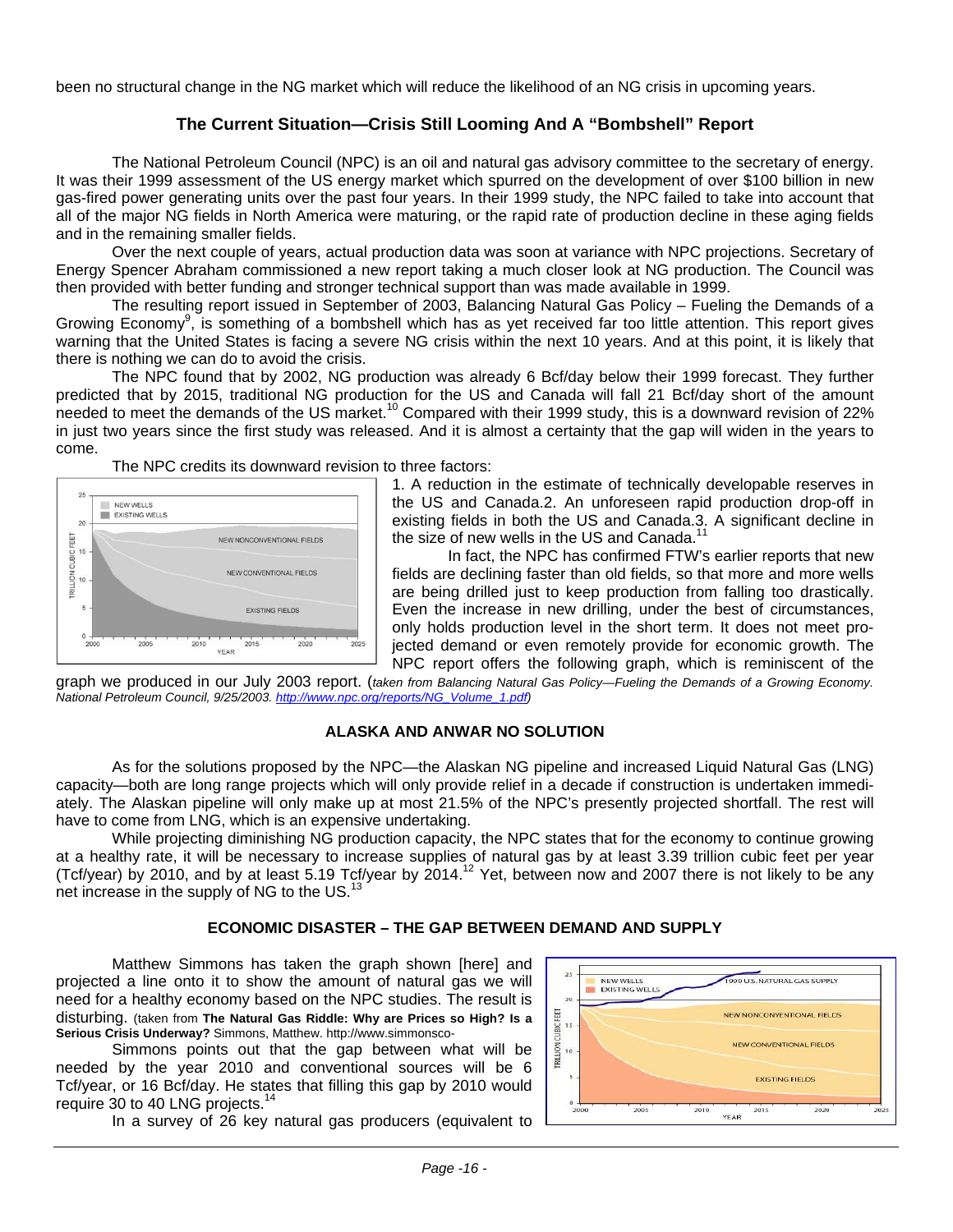been no structural change in the NG market which will reduce the likelihood of an NG crisis in upcoming years.

#### **The Current Situation—Crisis Still Looming And A "Bombshell" Report**

The National Petroleum Council (NPC) is an oil and natural gas advisory committee to the secretary of energy. It was their 1999 assessment of the US energy market which spurred on the development of over \$100 billion in new gas-fired power generating units over the past four years. In their 1999 study, the NPC failed to take into account that all of the major NG fields in North America were maturing, or the rapid rate of production decline in these aging fields and in the remaining smaller fields.

Over the next couple of years, actual production data was soon at variance with NPC projections. Secretary of Energy Spencer Abraham commissioned a new report taking a much closer look at NG production. The Council was then provided with better funding and stronger technical support than was made available in 1999.

The resulting report issued in September of 2003, Balancing Natural Gas Policy – Fueling the Demands of a Growing Economy<sup>9</sup>, is something of a bombshell which has as yet received far too little attention. This report gives warning that the United States is facing a severe NG crisis within the next 10 years. And at this point, it is likely that there is nothing we can do to avoid the crisis.

The NPC found that by 2002, NG production was already 6 Bcf/day below their 1999 forecast. They further predicted that by 2015, traditional NG production for the US and Canada will fall 21 Bcf/day short of the amount needed to meet the demands of the US market.<sup>10</sup> Compared with their 1999 study, this is a downward revision of 22% in just two years since the first study was released. And it is almost a certainty that the gap will widen in the years to come.

The NPC credits its downward revision to three factors:



1. A reduction in the estimate of technically developable reserves in the US and Canada.2. An unforeseen rapid production drop-off in existing fields in both the US and Canada.3. A significant decline in the size of new wells in the US and Canada.<sup>1</sup>

In fact, the NPC has confirmed FTW's earlier reports that new fields are declining faster than old fields, so that more and more wells are being drilled just to keep production from falling too drastically. Even the increase in new drilling, under the best of circumstances, only holds production level in the short term. It does not meet projected demand or even remotely provide for economic growth. The NPC report offers the following graph, which is reminiscent of the

graph we produced in our July 2003 report. (*taken from Balancing Natural Gas Policy—Fueling the Demands of a Growing Economy. National Petroleum Council, 9/25/2003. http://www.npc.org/reports/NG\_Volume\_1.pdf)* 

#### **ALASKA AND ANWAR NO SOLUTION**

As for the solutions proposed by the NPC—the Alaskan NG pipeline and increased Liquid Natural Gas (LNG) capacity—both are long range projects which will only provide relief in a decade if construction is undertaken immediately. The Alaskan pipeline will only make up at most 21.5% of the NPC's presently projected shortfall. The rest will have to come from LNG, which is an expensive undertaking.

While projecting diminishing NG production capacity, the NPC states that for the economy to continue growing at a healthy rate, it will be necessary to increase supplies of natural gas by at least 3.39 trillion cubic feet per year (Tcf/year) by 2010, and by at least 5.19 Tcf/year by 2014.12 Yet, between now and 2007 there is not likely to be any net increase in the supply of NG to the US. $^{13}$ 

#### **ECONOMIC DISASTER – THE GAP BETWEEN DEMAND AND SUPPLY**

Matthew Simmons has taken the graph shown [here] and projected a line onto it to show the amount of natural gas we will need for a healthy economy based on the NPC studies. The result is disturbing. (taken from **The Natural Gas Riddle: Why are Prices so High? Is a Serious Crisis Underway?** Simmons, Matthew. http://www.simmonsco-

Simmons points out that the gap between what will be needed by the year 2010 and conventional sources will be 6 Tcf/year, or 16 Bcf/day. He states that filling this gap by 2010 would require 30 to 40 LNG projects.<sup>14</sup>

In a survey of 26 key natural gas producers (equivalent to

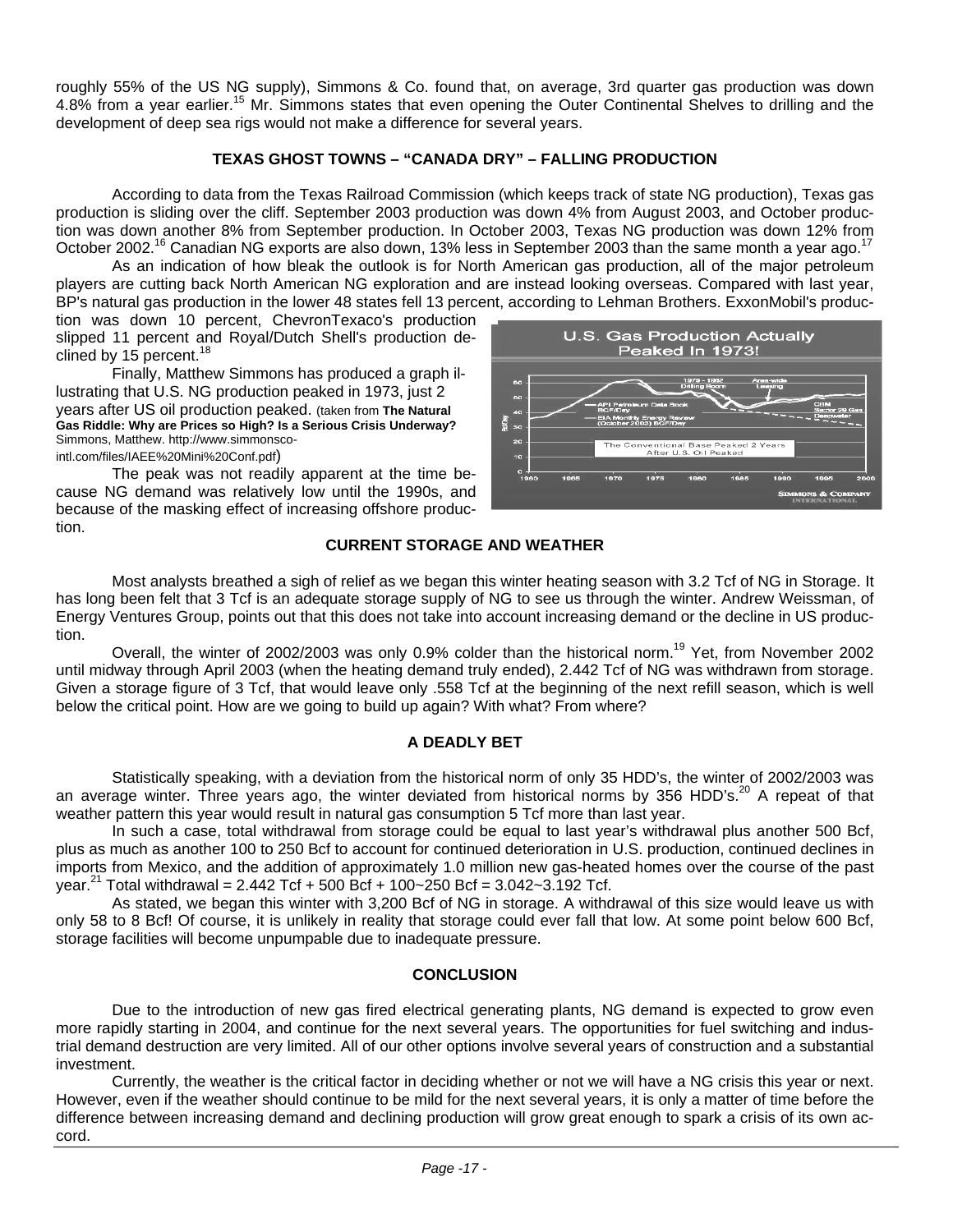roughly 55% of the US NG supply), Simmons & Co. found that, on average, 3rd quarter gas production was down 4.8% from a year earlier.<sup>15</sup> Mr. Simmons states that even opening the Outer Continental Shelves to drilling and the development of deep sea rigs would not make a difference for several years.

#### **TEXAS GHOST TOWNS – "CANADA DRY" – FALLING PRODUCTION**

According to data from the Texas Railroad Commission (which keeps track of state NG production), Texas gas production is sliding over the cliff. September 2003 production was down 4% from August 2003, and October production was down another 8% from September production. In October 2003, Texas NG production was down 12% from October 2002.<sup>16</sup> Canadian NG exports are also down, 13% less in September 2003 than the same month a year ago.<sup>17</sup>

As an indication of how bleak the outlook is for North American gas production, all of the major petroleum players are cutting back North American NG exploration and are instead looking overseas. Compared with last year, BP's natural gas production in the lower 48 states fell 13 percent, according to Lehman Brothers. ExxonMobil's produc-

tion was down 10 percent, ChevronTexaco's production slipped 11 percent and Royal/Dutch Shell's production declined by 15 percent. $18$ 

Finally, Matthew Simmons has produced a graph illustrating that U.S. NG production peaked in 1973, just 2 years after US oil production peaked. (taken from **The Natural Gas Riddle: Why are Prices so High? Is a Serious Crisis Underway?** Simmons, Matthew. http://www.simmonscointl.com/files/IAEE%20Mini%20Conf.pdf)

The peak was not readily apparent at the time because NG demand was relatively low until the 1990s, and because of the masking effect of increasing offshore production.



#### **CURRENT STORAGE AND WEATHER**

Most analysts breathed a sigh of relief as we began this winter heating season with 3.2 Tcf of NG in Storage. It has long been felt that 3 Tcf is an adequate storage supply of NG to see us through the winter. Andrew Weissman, of Energy Ventures Group, points out that this does not take into account increasing demand or the decline in US production.

Overall, the winter of 2002/2003 was only 0.9% colder than the historical norm.<sup>19</sup> Yet, from November 2002 until midway through April 2003 (when the heating demand truly ended), 2.442 Tcf of NG was withdrawn from storage. Given a storage figure of 3 Tcf, that would leave only .558 Tcf at the beginning of the next refill season, which is well below the critical point. How are we going to build up again? With what? From where?

#### **A DEADLY BET**

Statistically speaking, with a deviation from the historical norm of only 35 HDD's, the winter of 2002/2003 was an average winter. Three years ago, the winter deviated from historical norms by 356 HDD's.<sup>20</sup> A repeat of that weather pattern this year would result in natural gas consumption 5 Tcf more than last year.

In such a case, total withdrawal from storage could be equal to last year's withdrawal plus another 500 Bcf, plus as much as another 100 to 250 Bcf to account for continued deterioration in U.S. production, continued declines in imports from Mexico, and the addition of approximately 1.0 million new gas-heated homes over the course of the past year.<sup>21</sup> Total withdrawal = 2.442 Tcf + 500 Bcf + 100~250 Bcf =  $3.042$ ~3.192 Tcf.

As stated, we began this winter with 3,200 Bcf of NG in storage. A withdrawal of this size would leave us with only 58 to 8 Bcf! Of course, it is unlikely in reality that storage could ever fall that low. At some point below 600 Bcf, storage facilities will become unpumpable due to inadequate pressure.

#### **CONCLUSION**

Due to the introduction of new gas fired electrical generating plants, NG demand is expected to grow even more rapidly starting in 2004, and continue for the next several years. The opportunities for fuel switching and industrial demand destruction are very limited. All of our other options involve several years of construction and a substantial investment.

Currently, the weather is the critical factor in deciding whether or not we will have a NG crisis this year or next. However, even if the weather should continue to be mild for the next several years, it is only a matter of time before the difference between increasing demand and declining production will grow great enough to spark a crisis of its own accord.